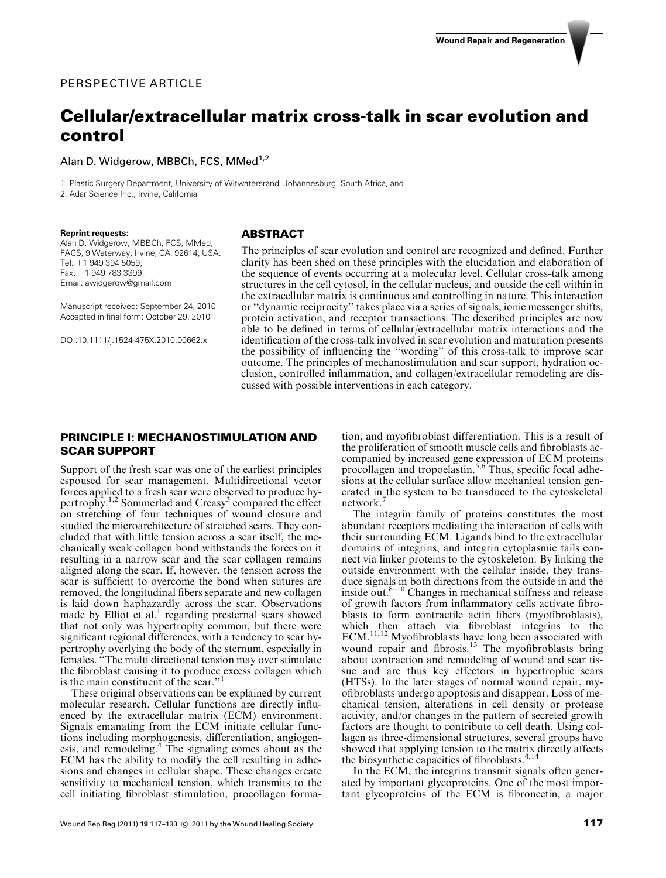## PERSPECTIVE ARTICLE

# Cellular/extracellular matrix cross-talk in scar evolution and control

Alan D. Widgerow, MBBCh, FCS, MMed<sup>1,2</sup>

1. Plastic Surgery Department, University of Witwatersrand, Johannesburg, South Africa, and 2. Adar Science Inc., Irvine, California

#### **Reprint requests:**

Alan D. Widgerow, MBBCh, FCS, MMed, FACS, 9 Waterway, Irvine, CA, 92614, USA. Tel: +1 949 394 5059; Fax: +1 949 783 3399; Email: [awidgerow@gmail.com](mailto:awidgerow@gmail.com)

Manuscript received: September 24, 2010 Accepted in final form: October 29, 2010

DOI:10.1111/j.1524-475X.2010.00662.x

#### ABSTRACT

The principles of scar evolution and control are recognized and defined. Further clarity has been shed on these principles with the elucidation and elaboration of the sequence of events occurring at a molecular level. Cellular cross-talk among structures in the cell cytosol, in the cellular nucleus, and outside the cell within in the extracellular matrix is continuous and controlling in nature. This interaction or ''dynamic reciprocity'' takes place via a series of signals, ionic messenger shifts, protein activation, and receptor transactions. The described principles are now able to be defined in terms of cellular/extracellular matrix interactions and the identification of the cross-talk involved in scar evolution and maturation presents the possibility of influencing the ''wording'' of this cross-talk to improve scar outcome. The principles of mechanostimulation and scar support, hydration occlusion, controlled inflammation, and collagen/extracellular remodeling are discussed with possible interventions in each category.

## PRINCIPLE I: MECHANOSTIMULATION AND SCAR SUPPORT

Support of the fresh scar was one of the earliest principles espoused for scar management. Multidirectional vector forces applied to a fresh scar were observed to produce hypertrophy.<sup>1,2</sup> Sommerlad and Creasy<sup>3</sup> compared the effect on stretching of four techniques of wound closure and studied the microarchitecture of stretched scars. They concluded that with little tension across a scar itself, the mechanically weak collagen bond withstands the forces on it resulting in a narrow scar and the scar collagen remains aligned along the scar. If, however, the tension across the scar is sufficient to overcome the bond when sutures are removed, the longitudinal fibers separate and new collagen is laid down haphazardly across the scar. Observations made by Elliot et al.<sup>1</sup> regarding presternal scars showed that not only was hypertrophy common, but there were significant regional differences, with a tendency to scar hypertrophy overlying the body of the sternum, especially in females. ''The multi directional tension may over stimulate the fibroblast causing it to produce excess collagen which is the main constituent of the scar.''<sup>1</sup>

These original observations can be explained by current molecular research. Cellular functions are directly influenced by the extracellular matrix (ECM) environment. Signals emanating from the ECM initiate cellular functions including morphogenesis, differentiation, angiogenesis, and remodeling.<sup>4</sup> The signaling comes about as the ECM has the ability to modify the cell resulting in adhesions and changes in cellular shape. These changes create sensitivity to mechanical tension, which transmits to the cell initiating fibroblast stimulation, procollagen formation, and myofibroblast differentiation. This is a result of the proliferation of smooth muscle cells and fibroblasts accompanied by increased gene expression of ECM proteins procollagen and tropoelastin.<sup>5,6</sup> Thus, specific focal adhesions at the cellular surface allow mechanical tension generated in the system to be transduced to the cytoskeletal network.<sup>7</sup>

The integrin family of proteins constitutes the most abundant receptors mediating the interaction of cells with their surrounding ECM. Ligands bind to the extracellular domains of integrins, and integrin cytoplasmic tails connect via linker proteins to the cytoskeleton. By linking the outside environment with the cellular inside, they transduce signals in both directions from the outside in and the inside out.<sup>8–10</sup> Changes in mechanical stiffness and release of growth factors from inflammatory cells activate fibroblasts to form contractile actin fibers (myofibroblasts), which then attach via fibroblast integrins to the ECM.<sup>11,12</sup> Myofibroblasts have long been associated with wound repair and fibrosis.<sup>13</sup> The myofibroblasts bring about contraction and remodeling of wound and scar tissue and are thus key effectors in hypertrophic scars (HTSs). In the later stages of normal wound repair, myofibroblasts undergo apoptosis and disappear. Loss of mechanical tension, alterations in cell density or protease activity, and/or changes in the pattern of secreted growth factors are thought to contribute to cell death. Using collagen as three-dimensional structures, several groups have showed that applying tension to the matrix directly affects the biosynthetic capacities of fibroblasts.<sup>4,14</sup>

In the ECM, the integrins transmit signals often generated by important glycoproteins. One of the most important glycoproteins of the ECM is fibronectin, a major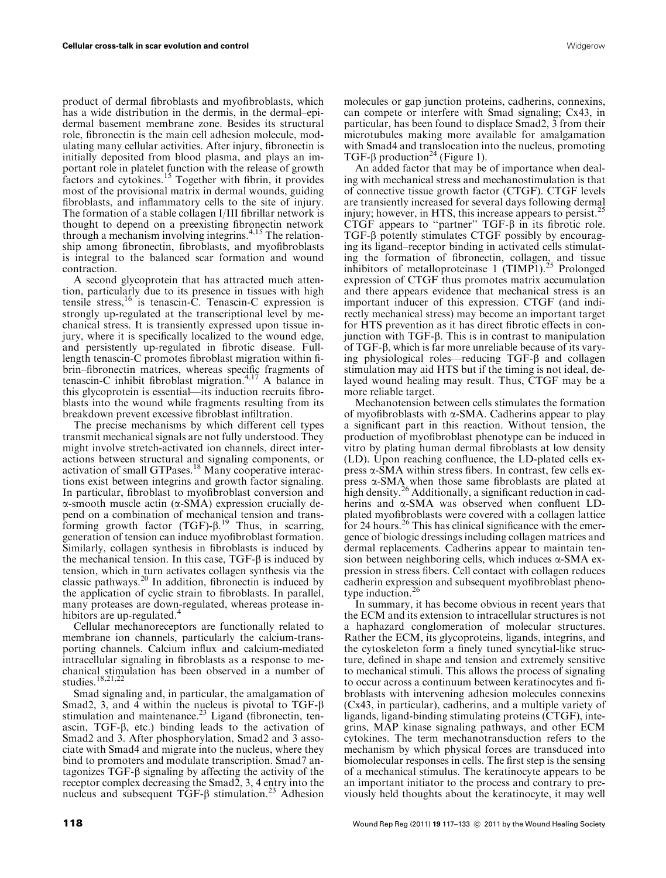product of dermal fibroblasts and myofibroblasts, which has a wide distribution in the dermis, in the dermal–epidermal basement membrane zone. Besides its structural role, fibronectin is the main cell adhesion molecule, modulating many cellular activities. After injury, fibronectin is initially deposited from blood plasma, and plays an important role in platelet function with the release of growth factors and cytokines.<sup>15</sup> Together with fibrin, it provides most of the provisional matrix in dermal wounds, guiding fibroblasts, and inflammatory cells to the site of injury. The formation of a stable collagen I/III fibrillar network is thought to depend on a preexisting fibronectin network through a mechanism involving integrins.<sup>4,15</sup> The relationship among fibronectin, fibroblasts, and myofibroblasts is integral to the balanced scar formation and wound contraction.

A second glycoprotein that has attracted much attention, particularly due to its presence in tissues with high tensile stress,<sup>16</sup> is tenascin-C. Tenascin-C expression is strongly up-regulated at the transcriptional level by mechanical stress. It is transiently expressed upon tissue injury, where it is specifically localized to the wound edge, and persistently up-regulated in fibrotic disease. Fulllength tenascin-C promotes fibroblast migration within fibrin–fibronectin matrices, whereas specific fragments of tenascin-C inhibit fibroblast migration.<sup>4,17</sup> A balance in this glycoprotein is essential—its induction recruits fibroblasts into the wound while fragments resulting from its breakdown prevent excessive fibroblast infiltration.

The precise mechanisms by which different cell types transmit mechanical signals are not fully understood. They might involve stretch-activated ion channels, direct interactions between structural and signaling components, or activation of small GTPases.<sup>18</sup> Many cooperative interactions exist between integrins and growth factor signaling. In particular, fibroblast to myofibroblast conversion and  $\alpha$ -smooth muscle actin ( $\alpha$ -SMA) expression crucially depend on a combination of mechanical tension and transforming growth factor  $(TGF)$ - $\beta$ .<sup>19</sup> Thus, in scarring, generation of tension can induce myofibroblast formation. Similarly, collagen synthesis in fibroblasts is induced by the mechanical tension. In this case,  $TGF - \beta$  is induced by tension, which in turn activates collagen synthesis via the classic pathways.<sup>20</sup> In addition, fibronectin is induced by the application of cyclic strain to fibroblasts. In parallel, many proteases are down-regulated, whereas protease inhibitors are up-regulated. $\frac{4}{3}$ 

Cellular mechanoreceptors are functionally related to membrane ion channels, particularly the calcium-transporting channels. Calcium influx and calcium-mediated intracellular signaling in fibroblasts as a response to mechanical stimulation has been observed in a number of studies.18,21,22

Smad signaling and, in particular, the amalgamation of Smad2, 3, and 4 within the nucleus is pivotal to  $TGF-\beta$ stimulation and maintenance.<sup>23</sup> Ligand (fibronectin, tenascin,  $TGF- $\beta$ , etc.) binding leads to the activation of$ Smad2 and 3. After phosphorylation, Smad2 and 3 associate with Smad4 and migrate into the nucleus, where they bind to promoters and modulate transcription. Smad7 antagonizes  $TGF- $\beta$  signaling by affecting the activity of the$ receptor complex decreasing the Smad2, 3, 4 entry into the nucleus and subsequent TGF- $\beta$  stimulation.<sup>23</sup> Adhesion

molecules or gap junction proteins, cadherins, connexins, can compete or interfere with Smad signaling; Cx43, in particular, has been found to displace Smad2, 3 from their microtubules making more available for amalgamation with Smad4 and translocation into the nucleus, promoting TGF- $\beta$  production<sup>24</sup> (Figure 1).

An added factor that may be of importance when dealing with mechanical stress and mechanostimulation is that of connective tissue growth factor (CTGF). CTGF levels are transiently increased for several days following dermal injury; however, in HTS, this increase appears to persist.<sup>25</sup> CTGF appears to "partner"  $TGF- $\beta$  in its fibrotic role.$ TGF- $\beta$  potently stimulates CTGF possibly by encouraging its ligand–receptor binding in activated cells stimulating the formation of fibronectin, collagen, and tissue inhibitors of metalloproteinase 1 (TIMP1).<sup>25</sup> Prolonged expression of CTGF thus promotes matrix accumulation and there appears evidence that mechanical stress is an important inducer of this expression. CTGF (and indirectly mechanical stress) may become an important target for HTS prevention as it has direct fibrotic effects in conjunction with  $TGF- $\beta$ . This is in contrast to manipulation$ of  $TGF-\beta$ , which is far more unreliable because of its varying physiological roles—reducing  $TGF- $\beta$  and collagen$ stimulation may aid HTS but if the timing is not ideal, delayed wound healing may result. Thus, CTGF may be a more reliable target.

Mechanotension between cells stimulates the formation of myofibroblasts with  $\alpha$ -SMA. Cadherins appear to play a significant part in this reaction. Without tension, the production of myofibroblast phenotype can be induced in vitro by plating human dermal fibroblasts at low density (LD). Upon reaching confluence, the LD-plated cells express  $\alpha$ -SMA within stress fibers. In contrast, few cells express  $\alpha$ -SMA when those same fibroblasts are plated at high density.<sup>26</sup> Additionally, a significant reduction in cadherins and  $\alpha$ -SMA was observed when confluent LDplated myofibroblasts were covered with a collagen lattice for 24 hours.<sup>26</sup> This has clinical significance with the emergence of biologic dressings including collagen matrices and dermal replacements. Cadherins appear to maintain tension between neighboring cells, which induces  $\alpha$ -SMA expression in stress fibers. Cell contact with collagen reduces cadherin expression and subsequent myofibroblast phenotype induction. $26$ 

In summary, it has become obvious in recent years that the ECM and its extension to intracellular structures is not a haphazard conglomeration of molecular structures. Rather the ECM, its glycoproteins, ligands, integrins, and the cytoskeleton form a finely tuned syncytial-like structure, defined in shape and tension and extremely sensitive to mechanical stimuli. This allows the process of signaling to occur across a continuum between keratinocytes and fibroblasts with intervening adhesion molecules connexins (Cx43, in particular), cadherins, and a multiple variety of ligands, ligand-binding stimulating proteins (CTGF), integrins, MAP kinase signaling pathways, and other ECM cytokines. The term mechanotransduction refers to the mechanism by which physical forces are transduced into biomolecular responses in cells. The first step is the sensing of a mechanical stimulus. The keratinocyte appears to be an important initiator to the process and contrary to previously held thoughts about the keratinocyte, it may well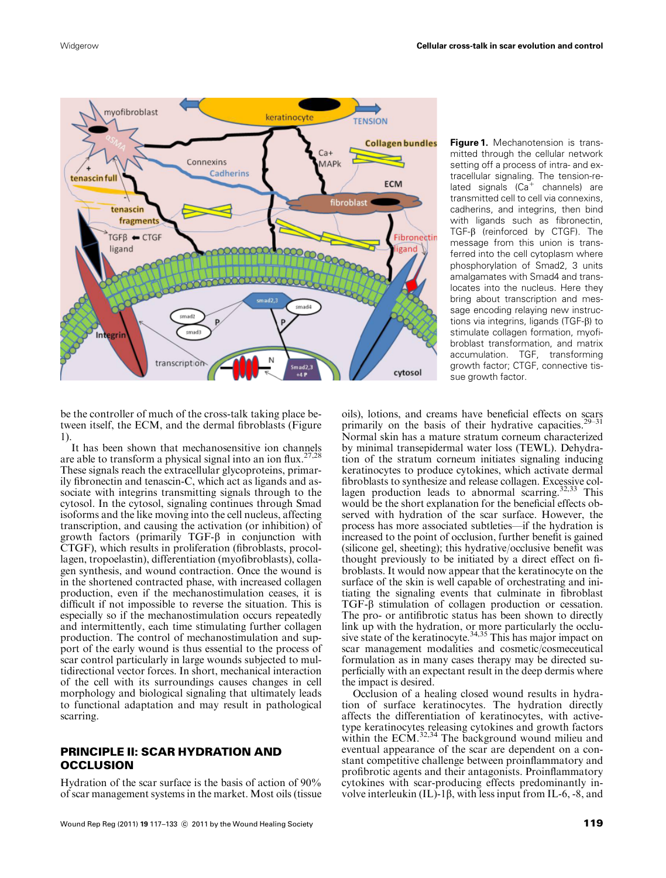

**Figure 1.** Mechanotension is transmitted through the cellular network setting off a process of intra- and extracellular signaling. The tension-related signals  $(Ca^+$  channels) are transmitted cell to cell via connexins, cadherins, and integrins, then bind with ligands such as fibronectin,  $TGF-\beta$  (reinforced by CTGF). The message from this union is transferred into the cell cytoplasm where phosphorylation of Smad2, 3 units amalgamates with Smad4 and translocates into the nucleus. Here they bring about transcription and message encoding relaying new instructions via integrins, ligands (TGF- $\beta$ ) to stimulate collagen formation, myofibroblast transformation, and matrix accumulation. TGF, transforming growth factor; CTGF, connective tissue growth factor.

be the controller of much of the cross-talk taking place between itself, the ECM, and the dermal fibroblasts (Figure 1).

It has been shown that mechanosensitive ion channels are able to transform a physical signal into an ion flux.<sup>2</sup> These signals reach the extracellular glycoproteins, primarily fibronectin and tenascin-C, which act as ligands and associate with integrins transmitting signals through to the cytosol. In the cytosol, signaling continues through Smad isoforms and the like moving into the cell nucleus, affecting transcription, and causing the activation (or inhibition) of growth factors (primarily TGF- $\beta$  in conjunction with CTGF), which results in proliferation (fibroblasts, procollagen, tropoelastin), differentiation (myofibroblasts), collagen synthesis, and wound contraction. Once the wound is in the shortened contracted phase, with increased collagen production, even if the mechanostimulation ceases, it is difficult if not impossible to reverse the situation. This is especially so if the mechanostimulation occurs repeatedly and intermittently, each time stimulating further collagen production. The control of mechanostimulation and support of the early wound is thus essential to the process of scar control particularly in large wounds subjected to multidirectional vector forces. In short, mechanical interaction of the cell with its surroundings causes changes in cell morphology and biological signaling that ultimately leads to functional adaptation and may result in pathological scarring.

## PRINCIPLE II: SCAR HYDRATION AND **OCCLUSION**

Hydration of the scar surface is the basis of action of 90% of scar management systems in the market. Most oils (tissue oils), lotions, and creams have beneficial effects on scars primarily on the basis of their hydrative capacities.<sup>29–31</sup> Normal skin has a mature stratum corneum characterized by minimal transepidermal water loss (TEWL). Dehydration of the stratum corneum initiates signaling inducing keratinocytes to produce cytokines, which activate dermal fibroblasts to synthesize and release collagen. Excessive collagen production leads to abnormal scarring.<sup>32,33</sup> This would be the short explanation for the beneficial effects observed with hydration of the scar surface. However, the process has more associated subtleties—if the hydration is increased to the point of occlusion, further benefit is gained (silicone gel, sheeting); this hydrative/occlusive benefit was thought previously to be initiated by a direct effect on fibroblasts. It would now appear that the keratinocyte on the surface of the skin is well capable of orchestrating and initiating the signaling events that culminate in fibroblast  $TGF- $\beta$  stimulation of collagen production or cessation.$ The pro- or antifibrotic status has been shown to directly link up with the hydration, or more particularly the occlusive state of the keratinocyte.<sup>34,35</sup> This has major impact on scar management modalities and cosmetic/cosmeceutical formulation as in many cases therapy may be directed superficially with an expectant result in the deep dermis where the impact is desired.

Occlusion of a healing closed wound results in hydration of surface keratinocytes. The hydration directly affects the differentiation of keratinocytes, with activetype keratinocytes releasing cytokines and growth factors within the ECM.<sup>32,34</sup> The background wound milieu and eventual appearance of the scar are dependent on a constant competitive challenge between proinflammatory and profibrotic agents and their antagonists. Proinflammatory cytokines with scar-producing effects predominantly involve interleukin  $(IL)$ -1 $\beta$ , with less input from IL-6, -8, and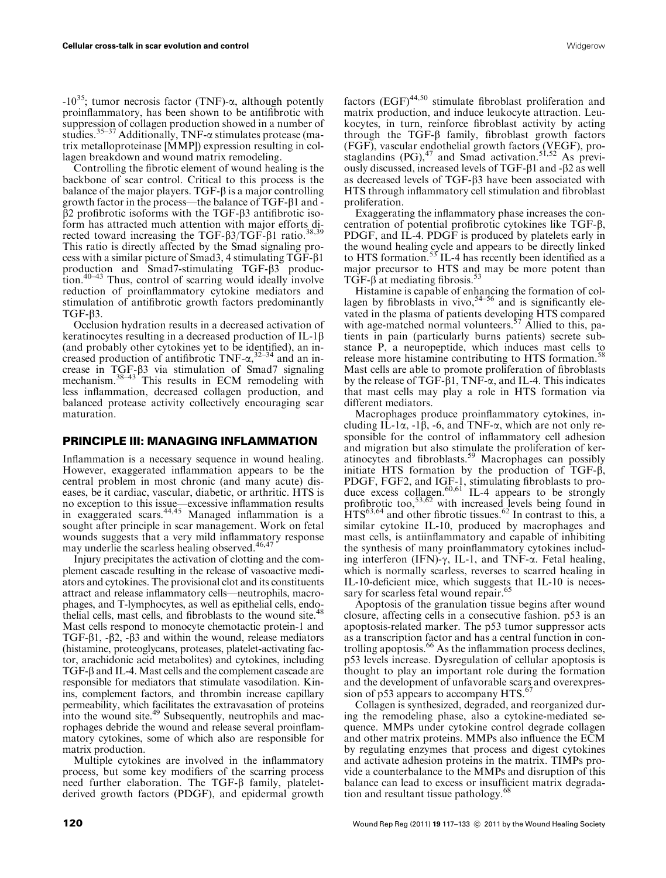$-10^{35}$ ; tumor necrosis factor (TNF)- $\alpha$ , although potently proinflammatory, has been shown to be antifibrotic with suppression of collagen production showed in a number of<br>studies.<sup>35–37</sup> Additionally, TNF-α stimulates protease (matrix metalloproteinase [MMP]) expression resulting in collagen breakdown and wound matrix remodeling.

Controlling the fibrotic element of wound healing is the backbone of scar control. Critical to this process is the balance of the major players. TGF- $\beta$  is a major controlling growth factor in the process—the balance of  $TGF- $\beta$ 1 and \beta$ 2 profibrotic isoforms with the TGF- $\beta$ 3 antifibrotic isoform has attracted much attention with major efforts directed toward increasing the TGF- $\beta$ 3/TGF- $\beta$ 1 ratio.<sup>38,39</sup> This ratio is directly affected by the Smad signaling process with a similar picture of Smad3, 4 stimulating TGF-b1 production and Smad7-stimulating TGF-b3 production.40–43 Thus, control of scarring would ideally involve reduction of proinflammatory cytokine mediators and stimulation of antifibrotic growth factors predominantly  $TGF- $\beta$ 3.$ 

Occlusion hydration results in a decreased activation of keratinocytes resulting in a decreased production of IL-1 $\beta$ (and probably other cytokines yet to be identified), an increased production of antifibrotic TNF- $\alpha$ ,  $32-34$  and an increase in TGF- $\beta$ 3 via stimulation of Smad7 signaling mechanism.<sup>38–43</sup> This results in ECM remodeling with less inflammation, decreased collagen production, and balanced protease activity collectively encouraging scar maturation.

#### PRINCIPLE III: MANAGING INFLAMMATION

Inflammation is a necessary sequence in wound healing. However, exaggerated inflammation appears to be the central problem in most chronic (and many acute) diseases, be it cardiac, vascular, diabetic, or arthritic. HTS is no exception to this issue—excessive inflammation results<br>in exaggerated scars.<sup>44,45</sup> Managed inflammation is a sought after principle in scar management. Work on fetal wounds suggests that a very mild inflammatory response may underlie the scarless healing observed.<sup>46,47</sup>

Injury precipitates the activation of clotting and the complement cascade resulting in the release of vasoactive mediators and cytokines. The provisional clot and its constituents attract and release inflammatory cells—neutrophils, macrophages, and T-lymphocytes, as well as epithelial cells, endothelial cells, mast cells, and fibroblasts to the wound site.<sup>4</sup> Mast cells respond to monocyte chemotactic protein-1 and TGF- $\beta$ 1, - $\beta$ 2, - $\beta$ 3 and within the wound, release mediators (histamine, proteoglycans, proteases, platelet-activating factor, arachidonic acid metabolites) and cytokines, including  $TGF-\beta$  and IL-4. Mast cells and the complement cascade are responsible for mediators that stimulate vasodilation. Kinins, complement factors, and thrombin increase capillary permeability, which facilitates the extravasation of proteins into the wound site.<sup>49</sup> Subsequently, neutrophils and macrophages debride the wound and release several proinflammatory cytokines, some of which also are responsible for matrix production.

Multiple cytokines are involved in the inflammatory process, but some key modifiers of the scarring process need further elaboration. The TGF- $\beta$  family, plateletderived growth factors (PDGF), and epidermal growth factors  $(EGF)^{44,50}$  stimulate fibroblast proliferation and matrix production, and induce leukocyte attraction. Leukocytes, in turn, reinforce fibroblast activity by acting through the TGF- $\beta$  family, fibroblast growth factors (FGF), vascular endothelial growth factors (VEGF), pro-<br>staglandins (PG),<sup>47</sup> and Smad activation.<sup>51,52</sup> As previously discussed, increased levels of TGF- $\beta$ 1 and - $\beta$ 2 as well as decreased levels of TGF- $\beta$ 3 have been associated with HTS through inflammatory cell stimulation and fibroblast proliferation.

Exaggerating the inflammatory phase increases the concentration of potential profibrotic cytokines like  $TGF-<sub>β</sub>$ , PDGF, and IL-4. PDGF is produced by platelets early in the wound healing cycle and appears to be directly linked<br>to HTS formation.<sup>53</sup> IL-4 has recently been identified as a major precursor to HTS and may be more potent than  $TGF-\beta$  at mediating fibrosis.<sup>53</sup>

Histamine is capable of enhancing the formation of collagen by fibroblasts in vivo,  $54-56$  and is significantly elevated in the plasma of patients developing HTS compared with age-matched normal volunteers.<sup>57</sup> Allied to this, patients in pain (particularly burns patients) secrete substance P, a neuropeptide, which induces mast cells to release more histamine contributing to HTS formation.<sup>58</sup> Mast cells are able to promote proliferation of fibroblasts by the release of TGF- $\beta$ 1, TNF- $\alpha$ , and IL-4. This indicates that mast cells may play a role in HTS formation via different mediators.

Macrophages produce proinflammatory cytokines, including IL-1 $\alpha$ , -1 $\beta$ , -6, and TNF- $\alpha$ , which are not only responsible for the control of inflammatory cell adhesion and migration but also stimulate the proliferation of keratinocytes and fibroblasts.<sup>59</sup> Macrophages can possibly initiate HTS formation by the production of TGF- $\beta$ , PDGF, FGF2, and IGF-1, stimulating fibroblasts to pro-<br>duce excess collagen.<sup>60,61</sup> IL-4 appears to be strongly profibrotic too,  $53,62$  with increased levels being found in  $\text{HTS}^{63,64}$  and other fibrotic tissues.<sup>62</sup> In contrast to this, a similar cytokine IL-10, produced by macrophages and mast cells, is antiinflammatory and capable of inhibiting the synthesis of many proinflammatory cytokines including interferon (IFN)- $\gamma$ , IL-1, and TNF- $\alpha$ . Fetal healing, which is normally scarless, reverses to scarred healing in IL-10-deficient mice, which suggests that IL-10 is necessary for scarless fetal wound repair.<sup>65</sup>

Apoptosis of the granulation tissue begins after wound closure, affecting cells in a consecutive fashion. p53 is an apoptosis-related marker. The p53 tumor suppressor acts as a transcription factor and has a central function in controlling apoptosis.<sup>66</sup> As the inflammation process declines, p53 levels increase. Dysregulation of cellular apoptosis is thought to play an important role during the formation and the development of unfavorable scars and overexpression of p53 appears to accompany  $HTS<sup>6</sup>$ 

Collagen is synthesized, degraded, and reorganized during the remodeling phase, also a cytokine-mediated sequence. MMPs under cytokine control degrade collagen and other matrix proteins. MMPs also influence the ECM by regulating enzymes that process and digest cytokines and activate adhesion proteins in the matrix. TIMPs provide a counterbalance to the MMPs and disruption of this balance can lead to excess or insufficient matrix degradation and resultant tissue pathology.<sup>68</sup>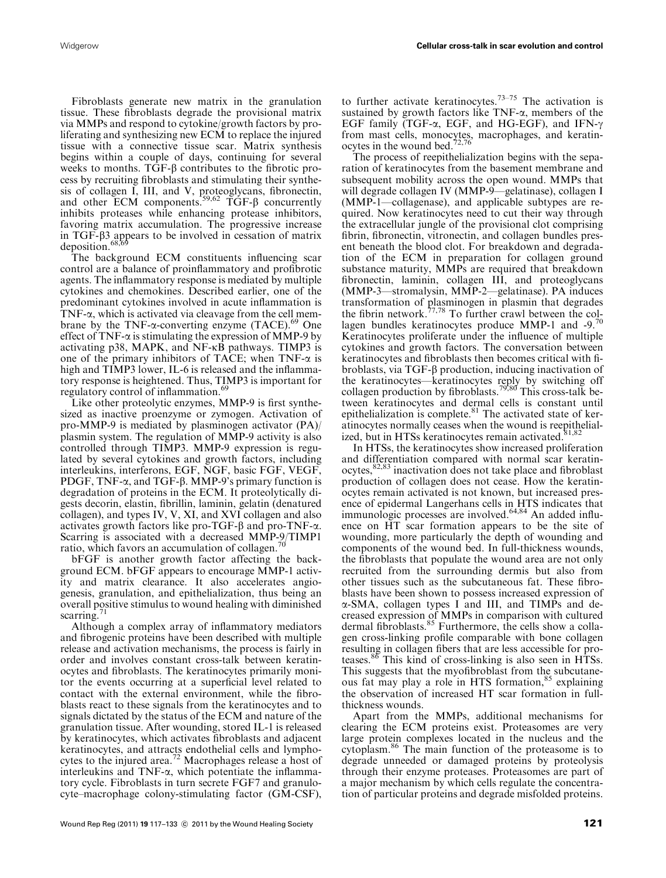Fibroblasts generate new matrix in the granulation tissue. These fibroblasts degrade the provisional matrix via MMPs and respond to cytokine/growth factors by proliferating and synthesizing new ECM to replace the injured tissue with a connective tissue scar. Matrix synthesis begins within a couple of days, continuing for several weeks to months. TGF- $\beta$  contributes to the fibrotic process by recruiting fibroblasts and stimulating their synthesis of collagen I, III, and V, proteoglycans, fibronectin, and other ECM components.<sup>59,62</sup> TGF- $\beta$  concurrently inhibits proteases while enhancing protease inhibitors, favoring matrix accumulation. The progressive increase in TGF-β3 appears to be involved in cessation of matrix deposition.<sup>68,59</sup>

The background ECM constituents influencing scar control are a balance of proinflammatory and profibrotic agents. The inflammatory response is mediated by multiple cytokines and chemokines. Described earlier, one of the predominant cytokines involved in acute inflammation is TNF- $\alpha$ , which is activated via cleavage from the cell membrane by the TNF- $\alpha$ -converting enzyme (TACE).<sup>69</sup> One effect of TNF- $\alpha$  is stimulating the expression of MMP-9 by activating p38, MAPK, and NF-kB pathways. TIMP3 is one of the primary inhibitors of TACE; when TNF- $\alpha$  is high and TIMP3 lower, IL-6 is released and the inflammatory response is heightened. Thus, TIMP3 is important for regulatory control of inflammation.<sup>69</sup>

Like other proteolytic enzymes, MMP-9 is first synthesized as inactive proenzyme or zymogen. Activation of pro-MMP-9 is mediated by plasminogen activator (PA)/ plasmin system. The regulation of MMP-9 activity is also controlled through TIMP3. MMP-9 expression is regulated by several cytokines and growth factors, including interleukins, interferons, EGF, NGF, basic FGF, VEGF, PDGF, TNF- $\alpha$ , and TGF- $\beta$ . MMP-9's primary function is degradation of proteins in the ECM. It proteolytically digests decorin, elastin, fibrillin, laminin, gelatin (denatured collagen), and types IV, V, XI, and XVI collagen and also activates growth factors like pro-TGF- $\beta$  and pro-TNF- $\alpha$ . Scarring is associated with a decreased MMP-9/TIMP1 ratio, which favors an accumulation of collagen.<sup>70</sup>

bFGF is another growth factor affecting the background ECM. bFGF appears to encourage MMP-1 activity and matrix clearance. It also accelerates angiogenesis, granulation, and epithelialization, thus being an overall positive stimulus to wound healing with diminished scarring.

Although a complex array of inflammatory mediators and fibrogenic proteins have been described with multiple release and activation mechanisms, the process is fairly in order and involves constant cross-talk between keratinocytes and fibroblasts. The keratinocytes primarily monitor the events occurring at a superficial level related to contact with the external environment, while the fibroblasts react to these signals from the keratinocytes and to signals dictated by the status of the ECM and nature of the granulation tissue. After wounding, stored IL-1 is released by keratinocytes, which activates fibroblasts and adjacent keratinocytes, and attracts endothelial cells and lympho-<br>cytes to the injured area.<sup>72</sup> Macrophages release a host of interleukins and TNF- $\alpha$ , which potentiate the inflammatory cycle. Fibroblasts in turn secrete FGF7 and granulocyte–macrophage colony-stimulating factor (GM-CSF), to further activate keratinocytes.<sup>73-75</sup> The activation is sustained by growth factors like  $TNF-\alpha$ , members of the EGF family (TGF- $\alpha$ , EGF, and HG-EGF), and IFN- $\gamma$ from mast cells, monocytes, macrophages, and keratin-<br>ocytes in the wound bed.<sup>72,76</sup>

The process of reepithelialization begins with the separation of keratinocytes from the basement membrane and subsequent mobility across the open wound. MMPs that will degrade collagen IV (MMP-9-gelatinase), collagen I (MMP-1—collagenase), and applicable subtypes are required. Now keratinocytes need to cut their way through the extracellular jungle of the provisional clot comprising fibrin, fibronectin, vitronectin, and collagen bundles present beneath the blood clot. For breakdown and degradation of the ECM in preparation for collagen ground substance maturity, MMPs are required that breakdown fibronectin, laminin, collagen III, and proteoglycans (MMP-3—stromalysin, MMP-2—gelatinase). PA induces transformation of plasminogen in plasmin that degrades the fibrin network.<sup>77,78</sup> To further crawl between the collagen bundles keratinocytes produce MMP-1 and -9.70 Keratinocytes proliferate under the influence of multiple cytokines and growth factors. The conversation between keratinocytes and fibroblasts then becomes critical with fibroblasts, via  $TGF- $\beta$  production, inducing inactivation of$ the keratinocytes—keratinocytes reply by switching off collagen production by fibroblasts.<sup>79,80</sup> This cross-talk between keratinocytes and dermal cells is constant until epithelialization is complete.<sup>81</sup> The activated state of keratinocytes normally ceases when the wound is reepithelialized, but in HTSs keratinocytes remain activated.<sup>81,82</sup>

In HTSs, the keratinocytes show increased proliferation and differentiation compared with normal scar keratinocytes,82,83 inactivation does not take place and fibroblast production of collagen does not cease. How the keratinocytes remain activated is not known, but increased presence of epidermal Langerhans cells in HTS indicates that immunologic processes are involved.<sup>64,84</sup> An added influence on HT scar formation appears to be the site of wounding, more particularly the depth of wounding and components of the wound bed. In full-thickness wounds, the fibroblasts that populate the wound area are not only recruited from the surrounding dermis but also from other tissues such as the subcutaneous fat. These fibroblasts have been shown to possess increased expression of a-SMA, collagen types I and III, and TIMPs and decreased expression of MMPs in comparison with cultured dermal fibroblasts.<sup>85</sup> Furthermore, the cells show a collagen cross-linking profile comparable with bone collagen resulting in collagen fibers that are less accessible for pro-<br>teases.<sup>86</sup> This kind of cross-linking is also seen in HTSs. This suggests that the myofibroblast from the subcutaneous fat may play a role in HTS formation,<sup>85</sup> explaining the observation of increased HT scar formation in fullthickness wounds.

Apart from the MMPs, additional mechanisms for clearing the ECM proteins exist. Proteasomes are very large protein complexes located in the nucleus and the cytoplasm.<sup>86</sup> The main function of the proteasome is to degrade unneeded or damaged proteins by proteolysis through their enzyme proteases. Proteasomes are part of a major mechanism by which cells regulate the concentration of particular proteins and degrade misfolded proteins.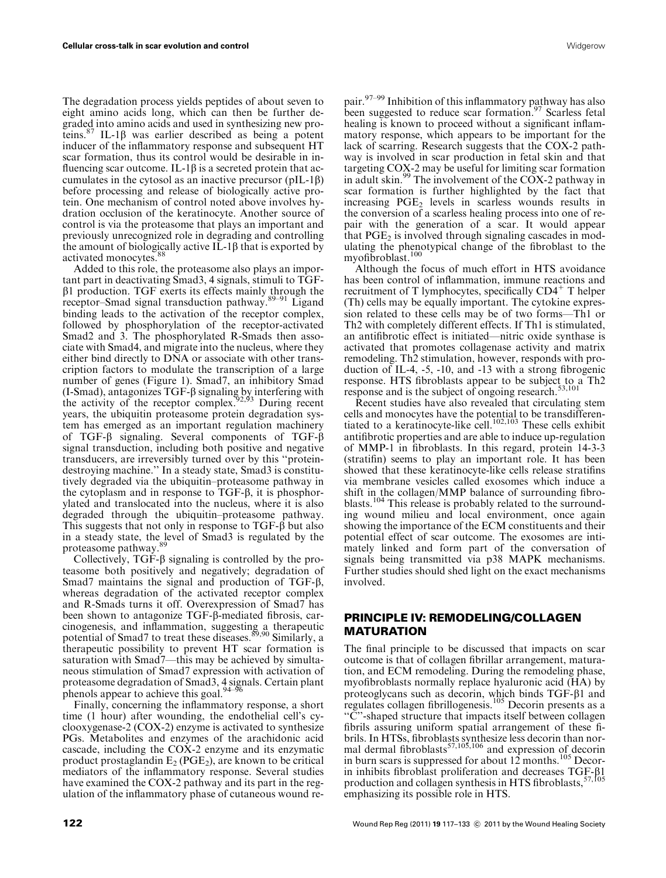The degradation process yields peptides of about seven to eight amino acids long, which can then be further degraded into amino acids and used in synthesizing new proteins.<sup>87</sup> IL-1 $\beta$  was earlier described as being a potent inducer of the inflammatory response and subsequent HT scar formation, thus its control would be desirable in influencing scar outcome. IL-1 $\beta$  is a secreted protein that accumulates in the cytosol as an inactive precursor  $(pIL-1\beta)$ before processing and release of biologically active protein. One mechanism of control noted above involves hydration occlusion of the keratinocyte. Another source of control is via the proteasome that plays an important and previously unrecognized role in degrading and controlling the amount of biologically active IL-1 $\beta$  that is exported by activated monocytes.

Added to this role, the proteasome also plays an important part in deactivating Smad3, 4 signals, stimuli to TGF- $\beta$ 1 production. TGF exerts its effects mainly through the receptor–Smad signal transduction pathway.<sup>89–91</sup> Ligand binding leads to the activation of the receptor complex, followed by phosphorylation of the receptor-activated Smad2 and 3. The phosphorylated R-Smads then associate with Smad4, and migrate into the nucleus, where they either bind directly to DNA or associate with other transcription factors to modulate the transcription of a large number of genes (Figure 1). Smad7, an inhibitory Smad (I-Smad), antagonizes TGF- $\beta$  signaling by interfering with the activity of the receptor complex.<sup>92,93</sup> During recent years, the ubiquitin proteasome protein degradation system has emerged as an important regulation machinery of TGF- $\beta$  signaling. Several components of TGF- $\beta$ signal transduction, including both positive and negative transducers, are irreversibly turned over by this ''proteindestroying machine.'' In a steady state, Smad3 is constitutively degraded via the ubiquitin–proteasome pathway in the cytoplasm and in response to  $TGF-\beta$ , it is phosphorylated and translocated into the nucleus, where it is also degraded through the ubiquitin–proteasome pathway. This suggests that not only in response to  $TGF-\beta$  but also in a steady state, the level of Smad3 is regulated by the proteasome pathway.89

Collectively, TGF- $\beta$  signaling is controlled by the proteasome both positively and negatively; degradation of Smad7 maintains the signal and production of TGF- $\beta$ , whereas degradation of the activated receptor complex and R-Smads turns it off. Overexpression of Smad7 has been shown to antagonize TGF-b-mediated fibrosis, carcinogenesis, and inflammation, suggesting a therapeutic potential of Smad7 to treat these diseases.<sup>89,90</sup> Similarly, a therapeutic possibility to prevent HT scar formation is saturation with Smad7—this may be achieved by simultaneous stimulation of Smad7 expression with activation of proteasome degradation of Smad3, 4 signals. Certain plant<br>phenols appear to achieve this goal.<sup>94–96</sup>

Finally, concerning the inflammatory response, a short time (1 hour) after wounding, the endothelial cell's cyclooxygenase-2 (COX-2) enzyme is activated to synthesize PGs. Metabolites and enzymes of the arachidonic acid cascade, including the COX-2 enzyme and its enzymatic product prostaglandin  $E_2$  (PGE<sub>2</sub>), are known to be critical mediators of the inflammatory response. Several studies have examined the COX-2 pathway and its part in the regulation of the inflammatory phase of cutaneous wound repair.<sup>97–99</sup> Inhibition of this inflammatory pathway has also been suggested to reduce scar formation.<sup>97</sup> Scarless fetal healing is known to proceed without a significant inflammatory response, which appears to be important for the lack of scarring. Research suggests that the COX-2 pathway is involved in scar production in fetal skin and that targeting COX-2 may be useful for limiting scar formation<br>in adult skin.<sup>99</sup> The involvement of the COX-2 pathway in scar formation is further highlighted by the fact that increasing  $PGE<sub>2</sub>$  levels in scarless wounds results in the conversion of a scarless healing process into one of repair with the generation of a scar. It would appear that  $PGE_2$  is involved through signaling cascades in modulating the phenotypical change of the fibroblast to the myofibroblast.

Although the focus of much effort in HTS avoidance has been control of inflammation, immune reactions and recruitment of T lymphocytes, specifically  $CD4^+$  T helper (Th) cells may be equally important. The cytokine expression related to these cells may be of two forms—Th1 or Th2 with completely different effects. If Th1 is stimulated, an antifibrotic effect is initiated—nitric oxide synthase is activated that promotes collagenase activity and matrix remodeling. Th2 stimulation, however, responds with production of IL-4, -5, -10, and -13 with a strong fibrogenic response. HTS fibroblasts appear to be subject to a Th2 response and is the subject of ongoing research.<sup>53,101</sup>

Recent studies have also revealed that circulating stem cells and monocytes have the potential to be transdifferentiated to a keratinocyte-like cell.<sup>102,103</sup> These cells exhibit antifibrotic properties and are able to induce up-regulation of MMP-1 in fibroblasts. In this regard, protein 14-3-3 (stratifin) seems to play an important role. It has been showed that these keratinocyte-like cells release stratifins via membrane vesicles called exosomes which induce a shift in the collagen/MMP balance of surrounding fibroblasts.<sup>104</sup> This release is probably related to the surrounding wound milieu and local environment, once again showing the importance of the ECM constituents and their potential effect of scar outcome. The exosomes are intimately linked and form part of the conversation of signals being transmitted via p38 MAPK mechanisms. Further studies should shed light on the exact mechanisms involved.

## PRINCIPLE IV: REMODELING/COLLAGEN MATURATION

The final principle to be discussed that impacts on scar outcome is that of collagen fibrillar arrangement, maturation, and ECM remodeling. During the remodeling phase, myofibroblasts normally replace hyaluronic acid (HA) by proteoglycans such as decorin, which binds  $TGF- $\beta$ 1 and$ regulates collagen fibrillogenesis.<sup>105</sup> Decorin presents as a ''C''-shaped structure that impacts itself between collagen fibrils assuring uniform spatial arrangement of these fibrils. In HTSs, fibroblasts synthesize less decorin than nor-<br>mal dermal fibroblasts<sup>57,105,106</sup> and expression of decorin in burn scars is suppressed for about 12 months.<sup>105</sup> Decorin inhibits fibroblast proliferation and decreases  $TGF- $\beta$ 1$ production and collagen synthesis in HTS fibroblasts,  $57,105$ emphasizing its possible role in HTS.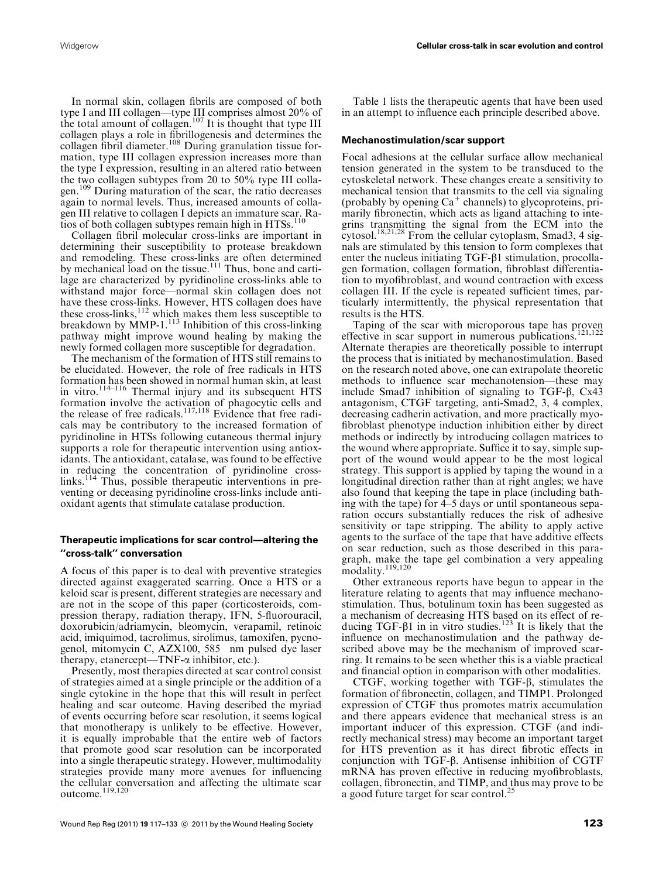In normal skin, collagen fibrils are composed of both type I and III collagen—type III comprises almost 20% of the total amount of collagen.<sup>107</sup> It is thought that type III collagen plays a role in fibrillogenesis and determines the collagen fibril diameter.<sup>108</sup> During granulation tissue formation, type III collagen expression increases more than the type I expression, resulting in an altered ratio between the two collagen subtypes from 20 to 50% type III collagen.<sup>109</sup> During maturation of the scar, the ratio decreases again to normal levels. Thus, increased amounts of collagen III relative to collagen I depicts an immature scar. Ratios of both collagen subtypes remain high in HTSs.

Collagen fibril molecular cross-links are important in determining their susceptibility to protease breakdown and remodeling. These cross-links are often determined<br>by mechanical load on the tissue.<sup>111</sup> Thus, bone and cartilage are characterized by pyridinoline cross-links able to withstand major force—normal skin collagen does not have these cross-links. However, HTS collagen does have these cross-links,<sup>112</sup> which makes them less susceptible to breakdown by  $MMP-1$ .<sup>113</sup> Inhibition of this cross-linking pathway might improve wound healing by making the newly formed collagen more susceptible for degradation.

The mechanism of the formation of HTS still remains to be elucidated. However, the role of free radicals in HTS formation has been showed in normal human skin, at least<br>in vitro.<sup>114–116</sup> Thermal injury and its subsequent HTS formation involve the activation of phagocytic cells and the release of free radicals.<sup>117,118</sup> Evidence that free radicals may be contributory to the increased formation of pyridinoline in HTSs following cutaneous thermal injury supports a role for therapeutic intervention using antioxidants. The antioxidant, catalase, was found to be effective in reducing the concentration of pyridinoline crosslinks.<sup>114</sup> Thus, possible therapeutic interventions in preventing or deceasing pyridinoline cross-links include antioxidant agents that stimulate catalase production.

### **Therapeutic implications for scar control—altering the ''cross-talk'' conversation**

A focus of this paper is to deal with preventive strategies directed against exaggerated scarring. Once a HTS or a keloid scar is present, different strategies are necessary and are not in the scope of this paper (corticosteroids, compression therapy, radiation therapy, IFN, 5-fluorouracil, doxorubicin/adriamycin, bleomycin, verapamil, retinoic acid, imiquimod, tacrolimus, sirolimus, tamoxifen, pycnogenol, mitomycin C, AZX100, 585 nm pulsed dye laser therapy, etanercept—TNF-a inhibitor, etc.).

Presently, most therapies directed at scar control consist of strategies aimed at a single principle or the addition of a single cytokine in the hope that this will result in perfect healing and scar outcome. Having described the myriad of events occurring before scar resolution, it seems logical that monotherapy is unlikely to be effective. However, it is equally improbable that the entire web of factors that promote good scar resolution can be incorporated into a single therapeutic strategy. However, multimodality strategies provide many more avenues for influencing the cellular conversation and affecting the ultimate scar outcome.<sup>119,120</sup>

Table 1 lists the therapeutic agents that have been used in an attempt to influence each principle described above.

#### **Mechanostimulation/scar support**

Focal adhesions at the cellular surface allow mechanical tension generated in the system to be transduced to the cytoskeletal network. These changes create a sensitivity to mechanical tension that transmits to the cell via signaling (probably by opening  $Ca^+$  channels) to glycoproteins, primarily fibronectin, which acts as ligand attaching to integrins transmitting the signal from the ECM into the cytosol.<sup>18,21,28</sup> From the cellular cytoplasm, Smad3, 4 signals are stimulated by this tension to form complexes that enter the nucleus initiating TGF- $\beta$ 1 stimulation, procollagen formation, collagen formation, fibroblast differentiation to myofibroblast, and wound contraction with excess collagen III. If the cycle is repeated sufficient times, particularly intermittently, the physical representation that results is the HTS.

Suits is the  $\pi$ 15.<br>Taping of the scar with microporous tape has proven<br> $\frac{121,122}{\pi}$ effective in scar support in numerous publications.<sup>1</sup> Alternate therapies are theoretically possible to interrupt the process that is initiated by mechanostimulation. Based on the research noted above, one can extrapolate theoretic methods to influence scar mechanotension—these may include Smad7 inhibition of signaling to  $TGF- $\beta$ ,  $Cx43$$ antagonism, CTGF targeting, anti-Smad2, 3, 4 complex, decreasing cadherin activation, and more practically myofibroblast phenotype induction inhibition either by direct methods or indirectly by introducing collagen matrices to the wound where appropriate. Suffice it to say, simple support of the wound would appear to be the most logical strategy. This support is applied by taping the wound in a longitudinal direction rather than at right angles; we have also found that keeping the tape in place (including bathing with the tape) for 4–5 days or until spontaneous separation occurs substantially reduces the risk of adhesive sensitivity or tape stripping. The ability to apply active agents to the surface of the tape that have additive effects on scar reduction, such as those described in this paragraph, make the tape gel combination a very appealing modality.119,120

Other extraneous reports have begun to appear in the literature relating to agents that may influence mechanostimulation. Thus, botulinum toxin has been suggested as a mechanism of decreasing HTS based on its effect of re-<br>ducing TGF-β1 in in vitro studies.<sup>123</sup> It is likely that the influence on mechanostimulation and the pathway described above may be the mechanism of improved scarring. It remains to be seen whether this is a viable practical and financial option in comparison with other modalities.

CTGF, working together with  $TGF-\beta$ , stimulates the formation of fibronectin, collagen, and TIMP1. Prolonged expression of CTGF thus promotes matrix accumulation and there appears evidence that mechanical stress is an important inducer of this expression. CTGF (and indirectly mechanical stress) may become an important target for HTS prevention as it has direct fibrotic effects in conjunction with TGF-b. Antisense inhibition of CGTF mRNA has proven effective in reducing myofibroblasts, collagen, fibronectin, and TIMP, and thus may prove to be a good future target for scar control.<sup>25</sup>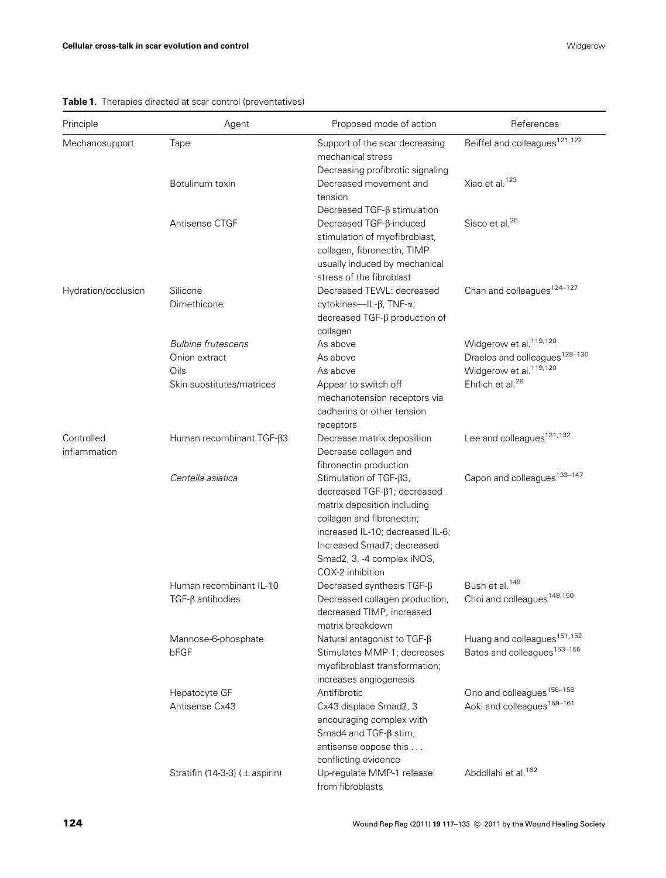## **Table 1.** Therapies directed at scar control (preventatives)

| Principle                  | Agent                                             | Proposed mode of action                                                                                                                                                                                                                                               | References                                                                         |
|----------------------------|---------------------------------------------------|-----------------------------------------------------------------------------------------------------------------------------------------------------------------------------------------------------------------------------------------------------------------------|------------------------------------------------------------------------------------|
| Mechanosupport             | Tape                                              | Support of the scar decreasing<br>mechanical stress<br>Decreasing profibrotic signaling                                                                                                                                                                               | Reiffel and colleagues <sup>121,122</sup>                                          |
|                            | Botulinum toxin                                   | Decreased movement and<br>tension<br>Decreased TGF- $\beta$ stimulation                                                                                                                                                                                               | Xiao et al. <sup>123</sup>                                                         |
|                            | Antisense CTGF                                    | Decreased TGF-ß-induced<br>stimulation of myofibroblast,<br>collagen, fibronectin, TIMP<br>usually induced by mechanical<br>stress of the fibroblast                                                                                                                  | Sisco et al. <sup>25</sup>                                                         |
| Hydration/occlusion        | Silicone<br>Dimethicone                           | Decreased TEWL: decreased<br>cytokines—IL- $\beta$ , TNF- $\alpha$ ;<br>decreased TGF- $\beta$ production of<br>collagen                                                                                                                                              | Chan and colleagues <sup>124-127</sup>                                             |
|                            | <b>Bulbine frutescens</b>                         | As above                                                                                                                                                                                                                                                              | Widgerow et al. <sup>119,120</sup>                                                 |
|                            | Onion extract                                     | As above                                                                                                                                                                                                                                                              | Draelos and colleagues <sup>128-130</sup>                                          |
|                            | Oils                                              | As above                                                                                                                                                                                                                                                              | Widgerow et al. <sup>119,120</sup>                                                 |
|                            | Skin substitutes/matrices                         | Appear to switch off<br>mechanotension receptors via<br>cadherins or other tension<br>receptors                                                                                                                                                                       | Ehrlich et al. <sup>26</sup>                                                       |
| Controlled<br>inflammation | Human recombinant TGF-β3                          | Decrease matrix deposition<br>Decrease collagen and                                                                                                                                                                                                                   | Lee and colleagues <sup>131,132</sup>                                              |
|                            | Centella asiatica                                 | fibronectin production<br>Stimulation of TGF-β3,<br>decreased $TGF-\beta1; decreased$<br>matrix deposition including<br>collagen and fibronectin;<br>increased IL-10; decreased IL-6;<br>Increased Smad7; decreased<br>Smad2, 3, -4 complex iNOS,<br>COX-2 inhibition | Capon and colleagues <sup>133-147</sup>                                            |
|                            | Human recombinant IL-10<br>$TGF-\beta$ antibodies | Decreased synthesis TGF- $\beta$<br>Decreased collagen production,<br>decreased TIMP, increased<br>matrix breakdown                                                                                                                                                   | Bush et al. <sup>148</sup><br>Choi and colleagues <sup>149,150</sup>               |
|                            | Mannose-6-phosphate<br>bFGF                       | Natural antagonist to TGF-β<br>Stimulates MMP-1; decreases<br>myofibroblast transformation;                                                                                                                                                                           | Huang and colleagues <sup>151,152</sup><br>Bates and colleagues <sup>153-155</sup> |
|                            | Hepatocyte GF<br>Antisense Cx43                   | increases angiogenesis<br>Antifibrotic<br>Cx43 displace Smad2, 3<br>encouraging complex with<br>Smad4 and TGF- $\beta$ stim;<br>antisense oppose this<br>conflicting evidence                                                                                         | Ono and colleagues <sup>156-158</sup><br>Aoki and colleagues <sup>159-161</sup>    |
|                            | Stratifin (14-3-3) ( $\pm$ aspirin)               | Up-regulate MMP-1 release<br>from fibroblasts                                                                                                                                                                                                                         | Abdollahi et al. <sup>162</sup>                                                    |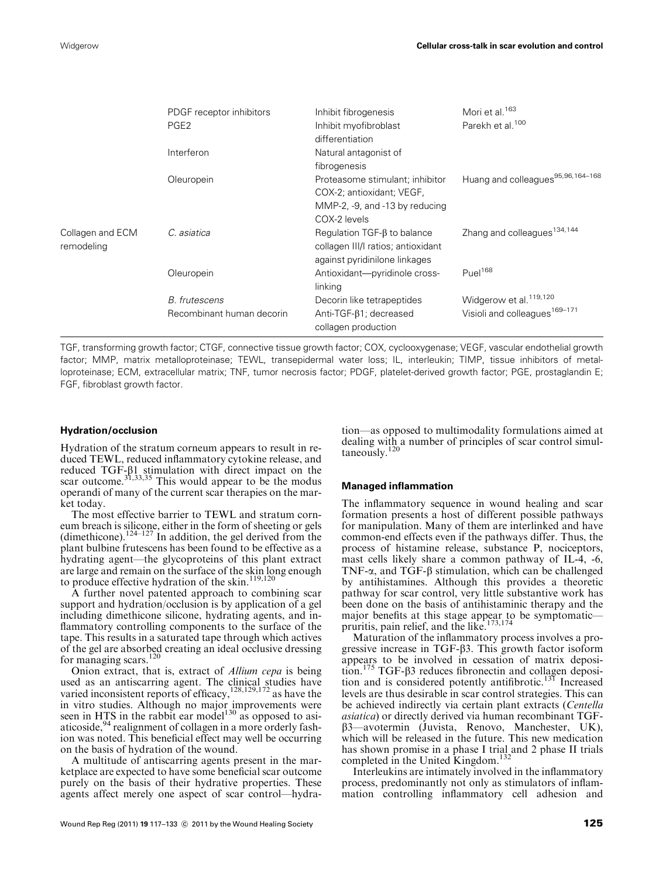|                                | PDGF receptor inhibitors<br>PGE <sub>2</sub> | Inhibit fibrogenesis<br>Inhibit myofibroblast<br>differentiation                                               | Mori et al. <sup>163</sup><br>Parekh et al. <sup>100</sup>                      |
|--------------------------------|----------------------------------------------|----------------------------------------------------------------------------------------------------------------|---------------------------------------------------------------------------------|
|                                | Interferon                                   | Natural antagonist of<br>fibrogenesis                                                                          |                                                                                 |
|                                | Oleuropein                                   | Proteasome stimulant; inhibitor<br>COX-2; antioxidant; VEGF,<br>MMP-2, -9, and -13 by reducing<br>COX-2 levels | Huang and colleagues <sup>95,96,164-168</sup>                                   |
| Collagen and ECM<br>remodeling | C. asiatica                                  | Regulation $TGF-B$ to balance<br>collagen III/I ratios; antioxidant<br>against pyridinilone linkages           | Zhang and colleagues <sup>134,144</sup>                                         |
|                                | Oleuropein                                   | Antioxidant—pyridinole cross-<br>linking                                                                       | Puel <sup>168</sup>                                                             |
|                                | B. frutescens<br>Recombinant human decorin   | Decorin like tetrapeptides<br>Anti-TGF- $\beta$ 1; decreased<br>collagen production                            | Widgerow et al. <sup>119,120</sup><br>Visioli and colleagues <sup>169-171</sup> |

TGF, transforming growth factor; CTGF, connective tissue growth factor; COX, cyclooxygenase; VEGF, vascular endothelial growth factor; MMP, matrix metalloproteinase; TEWL, transepidermal water loss; IL, interleukin; TIMP, tissue inhibitors of metalloproteinase; ECM, extracellular matrix; TNF, tumor necrosis factor; PDGF, platelet-derived growth factor; PGE, prostaglandin E; FGF, fibroblast growth factor.

#### **Hydration/occlusion**

Hydration of the stratum corneum appears to result in reduced TEWL, reduced inflammatory cytokine release, and reduced  $TGF-\beta1$  stimulation with direct impact on the scar outcome.<sup>31,33,35</sup> This would appear to be the modus operandi of many of the current scar therapies on the market today.

The most effective barrier to TEWL and stratum corneum breach is silicone, either in the form of sheeting or gels<br>(dimethicone).<sup>124–127</sup> In addition, the gel derived from the plant bulbine frutescens has been found to be effective as a hydrating agent—the glycoproteins of this plant extract are large and remain on the surface of the skin long enough<br>to produce effective hydration of the skin.<sup>119,120</sup>

A further novel patented approach to combining scar support and hydration/occlusion is by application of a gel including dimethicone silicone, hydrating agents, and inflammatory controlling components to the surface of the tape. This results in a saturated tape through which actives of the gel are absorbed creating an ideal occlusive dressing<br>for managing scars.<sup>120</sup>

Onion extract, that is, extract of Allium cepa is being used as an antiscarring agent. The clinical studies have varied inconsistent reports of efficacy,<sup>128,129,172</sup> as have the in vitro studies. Although no major improvements were seen in HTS in the rabbit ear model<sup>130</sup> as opposed to asiaticoside, <sup>94</sup> realignment of collagen in a more orderly fashion was noted. This beneficial effect may well be occurring on the basis of hydration of the wound.

A multitude of antiscarring agents present in the marketplace are expected to have some beneficial scar outcome purely on the basis of their hydrative properties. These agents affect merely one aspect of scar control—hydration—as opposed to multimodality formulations aimed at dealing with a number of principles of scar control simultaneously.<sup>120</sup>

#### **Managed inflammation**

The inflammatory sequence in wound healing and scar formation presents a host of different possible pathways for manipulation. Many of them are interlinked and have common-end effects even if the pathways differ. Thus, the process of histamine release, substance P, nociceptors, mast cells likely share a common pathway of IL-4, -6, TNF- $\alpha$ , and TGF- $\beta$  stimulation, which can be challenged by antihistamines. Although this provides a theoretic pathway for scar control, very little substantive work has been done on the basis of antihistaminic therapy and the major benefits at this stage appear to be symptomatic—<br>pruritis, pain relief, and the like.<sup>173,174</sup>

Maturation of the inflammatory process involves a progressive increase in TGF-b3. This growth factor isoform appears to be involved in cessation of matrix deposition.<sup>175</sup> TGF- $\beta$ 3 reduces fibronectin and collagen deposition and is considered potently antifibrotic.<sup>131</sup> Increased levels are thus desirable in scar control strategies. This can be achieved indirectly via certain plant extracts (Centella asiatica) or directly derived via human recombinant TGFb3—avotermin (Juvista, Renovo, Manchester, UK), which will be released in the future. This new medication has shown promise in a phase I trial and 2 phase II trials completed in the United Kingdom.<sup>132</sup>

Interleukins are intimately involved in the inflammatory process, predominantly not only as stimulators of inflammation controlling inflammatory cell adhesion and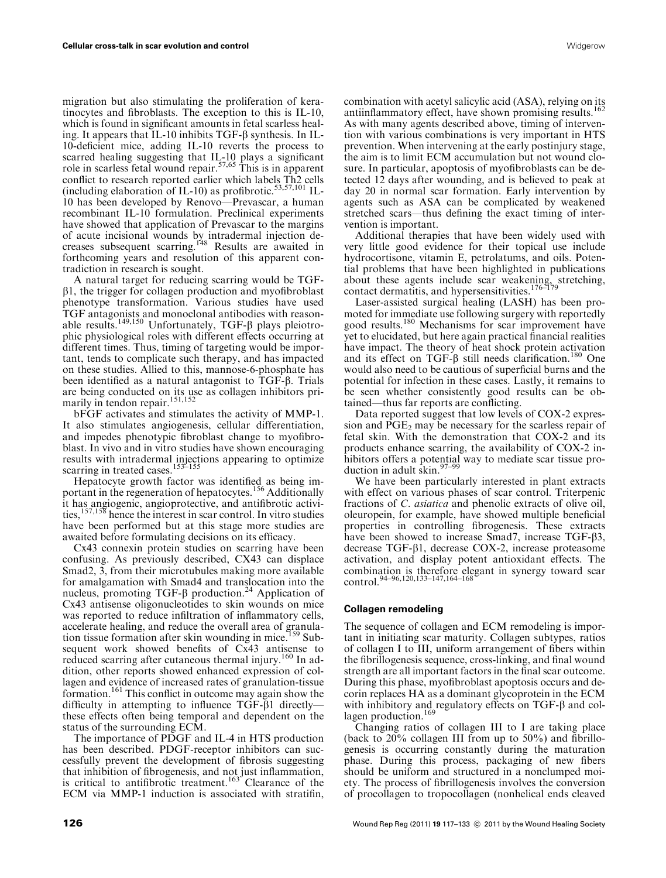migration but also stimulating the proliferation of keratinocytes and fibroblasts. The exception to this is IL-10, which is found in significant amounts in fetal scarless healing. It appears that IL-10 inhibits TGF- $\beta$  synthesis. In IL-10-deficient mice, adding IL-10 reverts the process to scarred healing suggesting that IL-10 plays a significant role in scarless fetal wound repair.<sup>57,65</sup> This is in apparent conflict to research reported earlier which labels Th2 cells (including elaboration of IL-10) as profibrotic.53,57,101 IL-10 has been developed by Renovo—Prevascar, a human recombinant IL-10 formulation. Preclinical experiments have showed that application of Prevascar to the margins of acute incisional wounds by intradermal injection decreases subsequent scarring.<sup>148</sup> Results are awaited in forthcoming years and resolution of this apparent contradiction in research is sought.

A natural target for reducing scarring would be TGF- $\beta$ 1, the trigger for collagen production and myofibroblast phenotype transformation. Various studies have used TGF antagonists and monoclonal antibodies with reasonable results.<sup>149,150</sup> Unfortunately,  $TGF-<sub>β</sub>$  plays pleiotrophic physiological roles with different effects occurring at different times. Thus, timing of targeting would be important, tends to complicate such therapy, and has impacted on these studies. Allied to this, mannose-6-phosphate has been identified as a natural antagonist to TGF-β. Trials are being conducted on its use as collagen inhibitors pri-<br>marily in tendon repair.<sup>151,152</sup>

bFGF activates and stimulates the activity of MMP-1. It also stimulates angiogenesis, cellular differentiation, and impedes phenotypic fibroblast change to myofibroblast. In vivo and in vitro studies have shown encouraging results with intradermal injections appearing to optimize scarring in treated cases.<sup>153–155</sup>

Hepatocyte growth factor was identified as being important in the regeneration of hepatocytes.<sup>156</sup> Additionally it has angiogenic, angioprotective, and antifibrotic activities,157,158 hence the interest in scar control. In vitro studies have been performed but at this stage more studies are awaited before formulating decisions on its efficacy.

Cx43 connexin protein studies on scarring have been confusing. As previously described, CX43 can displace Smad2, 3, from their microtubules making more available for amalgamation with Smad4 and translocation into the nucleus, promoting TGF- $\beta$  production.<sup>24</sup> Application of Cx43 antisense oligonucleotides to skin wounds on mice was reported to reduce infiltration of inflammatory cells, accelerate healing, and reduce the overall area of granulation tissue formation after skin wounding in mice.<sup>159</sup> Subsequent work showed benefits of Cx43 antisense to reduced scarring after cutaneous thermal injury.<sup>160</sup> In addition, other reports showed enhanced expression of collagen and evidence of increased rates of granulation-tissue formation.<sup>161</sup> This conflict in outcome may again show the difficulty in attempting to influence  $TGF- $\beta$ 1 directly$ these effects often being temporal and dependent on the status of the surrounding ECM.

The importance of PDGF and IL-4 in HTS production has been described. PDGF-receptor inhibitors can successfully prevent the development of fibrosis suggesting that inhibition of fibrogenesis, and not just inflammation, is critical to antifibrotic treatment.<sup>163</sup> Clearance of the ECM via MMP-1 induction is associated with stratifin,

combination with acetyl salicylic acid (ASA), relying on its antiinflammatory effect, have shown promising results.<sup>162</sup> As with many agents described above, timing of intervention with various combinations is very important in HTS prevention. When intervening at the early postinjury stage, the aim is to limit ECM accumulation but not wound closure. In particular, apoptosis of myofibroblasts can be detected 12 days after wounding, and is believed to peak at day 20 in normal scar formation. Early intervention by agents such as ASA can be complicated by weakened stretched scars—thus defining the exact timing of intervention is important.

Additional therapies that have been widely used with very little good evidence for their topical use include hydrocortisone, vitamin E, petrolatums, and oils. Potential problems that have been highlighted in publications about these agents include scar weakening, stretching, contact dermatitis, and hypersensitivities.<sup>176–179</sup>

Laser-assisted surgical healing (LASH) has been promoted for immediate use following surgery with reportedly good results.<sup>180</sup> Mechanisms for scar improvement have yet to elucidated, but here again practical financial realities have impact. The theory of heat shock protein activation and its effect on TGF- $\beta$  still needs clarification.<sup>180</sup> One would also need to be cautious of superficial burns and the potential for infection in these cases. Lastly, it remains to be seen whether consistently good results can be obtained—thus far reports are conflicting.

Data reported suggest that low levels of COX-2 expression and  $PGE_2$  may be necessary for the scarless repair of fetal skin. With the demonstration that COX-2 and its products enhance scarring, the availability of COX-2 inhibitors offers a potential way to mediate scar tissue production in adult  $\sin^{97-99}$ 

We have been particularly interested in plant extracts with effect on various phases of scar control. Triterpenic fractions of C. asiatica and phenolic extracts of olive oil, oleuropein, for example, have showed multiple beneficial properties in controlling fibrogenesis. These extracts have been showed to increase Smad7, increase TGF-β3, decrease TGF-b1, decrease COX-2, increase proteasome activation, and display potent antioxidant effects. The combination is therefore elegant in synergy toward scar control.94–96,120,133–147,164–168

#### **Collagen remodeling**

The sequence of collagen and ECM remodeling is important in initiating scar maturity. Collagen subtypes, ratios of collagen I to III, uniform arrangement of fibers within the fibrillogenesis sequence, cross-linking, and final wound strength are all important factors in the final scar outcome. During this phase, myofibroblast apoptosis occurs and decorin replaces HA as a dominant glycoprotein in the ECM with inhibitory and regulatory effects on  $TGF-\beta$  and collagen production.<sup>169</sup>

Changing ratios of collagen III to I are taking place (back to 20% collagen III from up to 50%) and fibrillogenesis is occurring constantly during the maturation phase. During this process, packaging of new fibers should be uniform and structured in a nonclumped moiety. The process of fibrillogenesis involves the conversion of procollagen to tropocollagen (nonhelical ends cleaved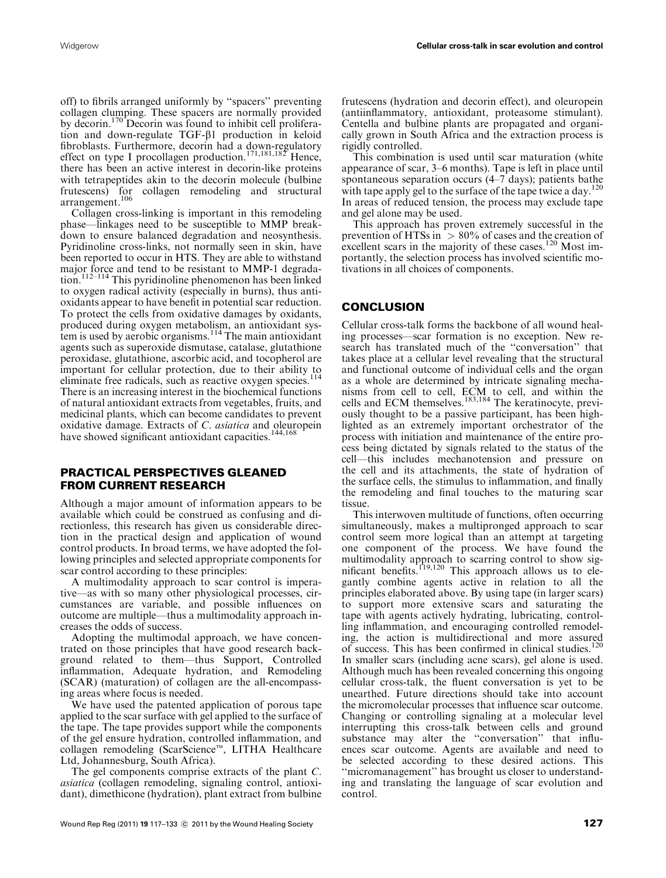off) to fibrils arranged uniformly by ''spacers'' preventing collagen clumping. These spacers are normally provided by decorin.<sup>170</sup> Decorin was found to inhibit cell proliferation and down-regulate TGF-b1 production in keloid fibroblasts. Furthermore, decorin had a down-regulatory effect on type I procollagen production.<sup>171,181,182</sup> Hence, there has been an active interest in decorin-like proteins with tetrapeptides akin to the decorin molecule (bulbine frutescens) for collagen remodeling and structural arrangement.<sup>106</sup>

Collagen cross-linking is important in this remodeling phase—linkages need to be susceptible to MMP breakdown to ensure balanced degradation and neosynthesis. Pyridinoline cross-links, not normally seen in skin, have been reported to occur in HTS. They are able to withstand major force and tend to be resistant to MMP-1 degradation.112–114 This pyridinoline phenomenon has been linked to oxygen radical activity (especially in burns), thus antioxidants appear to have benefit in potential scar reduction. To protect the cells from oxidative damages by oxidants, produced during oxygen metabolism, an antioxidant sys-<br>tem is used by aerobic organisms.<sup>114</sup> The main antioxidant agents such as superoxide dismutase, catalase, glutathione peroxidase, glutathione, ascorbic acid, and tocopherol are important for cellular protection, due to their ability to eliminate free radicals, such as reactive oxygen species.<sup>114</sup> There is an increasing interest in the biochemical functions of natural antioxidant extracts from vegetables, fruits, and medicinal plants, which can become candidates to prevent oxidative damage. Extracts of C. asiatica and oleuropein have showed significant antioxidant capacities.<sup>144,168</sup>

# PRACTICAL PERSPECTIVES GLEANED FROM CURRENT RESEARCH

Although a major amount of information appears to be available which could be construed as confusing and directionless, this research has given us considerable direction in the practical design and application of wound control products. In broad terms, we have adopted the following principles and selected appropriate components for scar control according to these principles:

A multimodality approach to scar control is imperative—as with so many other physiological processes, circumstances are variable, and possible influences on outcome are multiple—thus a multimodality approach increases the odds of success.

Adopting the multimodal approach, we have concentrated on those principles that have good research background related to them—thus Support, Controlled inflammation, Adequate hydration, and Remodeling (SCAR) (maturation) of collagen are the all-encompassing areas where focus is needed.

We have used the patented application of porous tape applied to the scar surface with gel applied to the surface of the tape. The tape provides support while the components of the gel ensure hydration, controlled inflammation, and collagen remodeling (ScarScience™, LITHA Healthcare Ltd, Johannesburg, South Africa).

The gel components comprise extracts of the plant C. asiatica (collagen remodeling, signaling control, antioxidant), dimethicone (hydration), plant extract from bulbine frutescens (hydration and decorin effect), and oleuropein (antiinflammatory, antioxidant, proteasome stimulant). Centella and bulbine plants are propagated and organically grown in South Africa and the extraction process is rigidly controlled.

This combination is used until scar maturation (white appearance of scar, 3–6 months). Tape is left in place until spontaneous separation occurs (4–7 days); patients bathe with tape apply gel to the surface of the tape twice a day.<sup>120</sup> In areas of reduced tension, the process may exclude tape and gel alone may be used.

This approach has proven extremely successful in the prevention of HTSs in  $> 80\%$  of cases and the creation of excellent scars in the majority of these cases.<sup>120</sup> Most importantly, the selection process has involved scientific motivations in all choices of components.

## **CONCLUSION**

Cellular cross-talk forms the backbone of all wound healing processes—scar formation is no exception. New research has translated much of the ''conversation'' that takes place at a cellular level revealing that the structural and functional outcome of individual cells and the organ as a whole are determined by intricate signaling mechanisms from cell to cell, ECM to cell, and within the cells and ECM themselves.<sup>183,184</sup> The keratinocyte, previously thought to be a passive participant, has been highlighted as an extremely important orchestrator of the process with initiation and maintenance of the entire process being dictated by signals related to the status of the cell—this includes mechanotension and pressure on the cell and its attachments, the state of hydration of the surface cells, the stimulus to inflammation, and finally the remodeling and final touches to the maturing scar tissue.

This interwoven multitude of functions, often occurring simultaneously, makes a multipronged approach to scar control seem more logical than an attempt at targeting one component of the process. We have found the multimodality approach to scarring control to show sig-<br>nificant benefits.<sup>119,120</sup> This approach allows us to elegantly combine agents active in relation to all the principles elaborated above. By using tape (in larger scars) to support more extensive scars and saturating the tape with agents actively hydrating, lubricating, controlling inflammation, and encouraging controlled remodeling, the action is multidirectional and more assured of success. This has been confirmed in clinical studies.<sup>120</sup> In smaller scars (including acne scars), gel alone is used. Although much has been revealed concerning this ongoing cellular cross-talk, the fluent conversation is yet to be unearthed. Future directions should take into account the micromolecular processes that influence scar outcome. Changing or controlling signaling at a molecular level interrupting this cross-talk between cells and ground substance may alter the ''conversation'' that influences scar outcome. Agents are available and need to be selected according to these desired actions. This ''micromanagement'' has brought us closer to understanding and translating the language of scar evolution and control.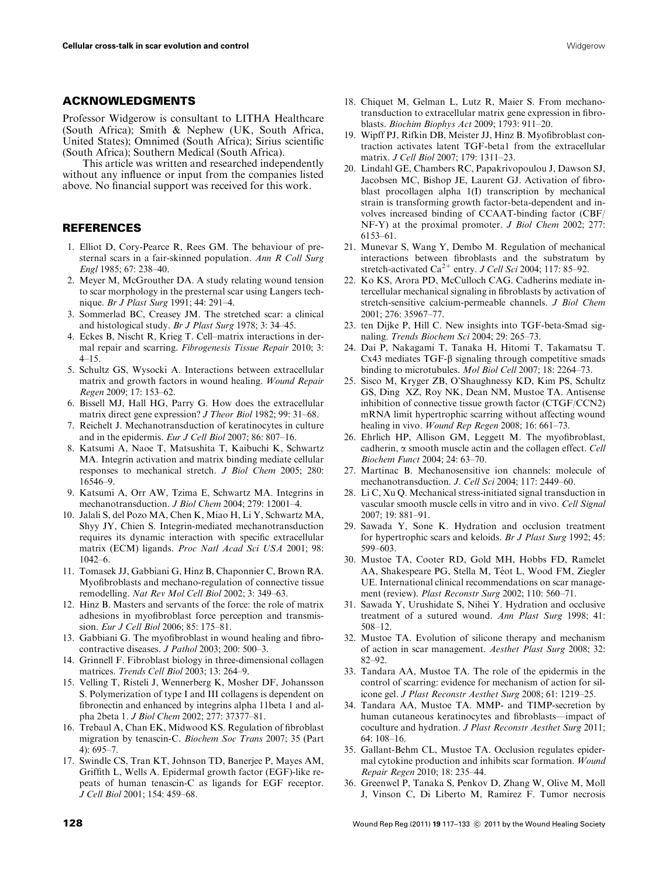## ACKNOWLEDGMENTS

Professor Widgerow is consultant to LITHA Healthcare (South Africa); Smith & Nephew (UK, South Africa, United States); Omnimed (South Africa); Sirius scientific (South Africa); Southern Medical (South Africa).

This article was written and researched independently without any influence or input from the companies listed above. No financial support was received for this work.

### REFERENCES

- 1. Elliot D, Cory-Pearce R, Rees GM. The behaviour of presternal scars in a fair-skinned population. Ann R Coll Surg Engl 1985; 67: 238–40.
- 2. Meyer M, McGrouther DA. A study relating wound tension to scar morphology in the presternal scar using Langers technique. Br J Plast Surg 1991; 44: 291–4.
- 3. Sommerlad BC, Creasey JM. The stretched scar: a clinical and histological study. Br J Plast Surg 1978; 3: 34–45.
- 4. Eckes B, Nischt R, Krieg T. Cell–matrix interactions in dermal repair and scarring. Fibrogenesis Tissue Repair 2010; 3:  $4-15$
- 5. Schultz GS, Wysocki A. Interactions between extracellular matrix and growth factors in wound healing. Wound Repair Regen 2009; 17: 153–62.
- 6. Bissell MJ, Hall HG, Parry G. How does the extracellular matrix direct gene expression? J Theor Biol 1982; 99: 31-68.
- 7. Reichelt J. Mechanotransduction of keratinocytes in culture and in the epidermis. Eur J Cell Biol 2007; 86: 807–16.
- 8. Katsumi A, Naoe T, Matsushita T, Kaibuchi K, Schwartz MA. Integrin activation and matrix binding mediate cellular responses to mechanical stretch. J Biol Chem 2005; 280: 16546–9.
- 9. Katsumi A, Orr AW, Tzima E, Schwartz MA. Integrins in mechanotransduction. J Biol Chem 2004; 279: 12001–4.
- 10. Jalali S, del Pozo MA, Chen K, Miao H, Li Y, Schwartz MA, Shyy JY, Chien S. Integrin-mediated mechanotransduction requires its dynamic interaction with specific extracellular matrix (ECM) ligands. Proc Natl Acad Sci USA 2001; 98: 1042–6.
- 11. Tomasek JJ, Gabbiani G, Hinz B, Chaponnier C, Brown RA. Myofibroblasts and mechano-regulation of connective tissue remodelling. Nat Rev Mol Cell Biol 2002; 3: 349–63.
- 12. Hinz B. Masters and servants of the force: the role of matrix adhesions in myofibroblast force perception and transmission. Eur J Cell Biol 2006; 85: 175-81.
- 13. Gabbiani G. The myofibroblast in wound healing and fibrocontractive diseases. J Pathol 2003; 200: 500-3.
- 14. Grinnell F. Fibroblast biology in three-dimensional collagen matrices. Trends Cell Biol 2003; 13: 264–9.
- 15. Velling T, Risteli J, Wennerberg K, Mosher DF, Johansson S. Polymerization of type I and III collagens is dependent on fibronectin and enhanced by integrins alpha 11beta 1 and alpha 2beta 1. J Biol Chem 2002; 277: 37377–81.
- 16. Trebaul A, Chan EK, Midwood KS. Regulation of fibroblast migration by tenascin-C. Biochem Soc Trans 2007; 35 (Part 4): 695–7.
- 17. Swindle CS, Tran KT, Johnson TD, Banerjee P, Mayes AM, Griffith L, Wells A. Epidermal growth factor (EGF)-like repeats of human tenascin-C as ligands for EGF receptor. J Cell Biol 2001; 154: 459–68.
- 18. Chiquet M, Gelman L, Lutz R, Maier S. From mechanotransduction to extracellular matrix gene expression in fibroblasts. Biochim Biophys Act 2009; 1793: 911–20.
- 19. Wipff PJ, Rifkin DB, Meister JJ, Hinz B. Myofibroblast contraction activates latent TGF-beta1 from the extracellular matrix. J Cell Biol 2007; 179: 1311–23.
- 20. Lindahl GE, Chambers RC, Papakrivopoulou J, Dawson SJ, Jacobsen MC, Bishop JE, Laurent GJ. Activation of fibroblast procollagen alpha 1(I) transcription by mechanical strain is transforming growth factor-beta-dependent and involves increased binding of CCAAT-binding factor (CBF/ NF-Y) at the proximal promoter. *J Biol Chem 2002*; 277: 6153–61.
- 21. Munevar S, Wang Y, Dembo M. Regulation of mechanical interactions between fibroblasts and the substratum by stretch-activated Ca<sup>2+</sup> entry. J Cell Sci 2004; 117: 85–92.
- 22. Ko KS, Arora PD, McCulloch CAG. Cadherins mediate intercellular mechanical signaling in fibroblasts by activation of stretch-sensitive calcium-permeable channels. J Biol Chem 2001; 276: 35967–77.
- 23. ten Dijke P, Hill C. New insights into TGF-beta-Smad signaling. Trends Biochem Sci 2004; 29: 265–73.
- 24. Dai P, Nakagami T, Tanaka H, Hitomi T, Takamatsu T. Cx43 mediates  $TGF- $\beta$  signaling through competitive smads$ binding to microtubules. Mol Biol Cell 2007; 18: 2264-73.
- 25. Sisco M, Kryger ZB, O'Shaughnessy KD, Kim PS, Schultz GS, Ding XZ, Roy NK, Dean NM, Mustoe TA. Antisense inhibition of connective tissue growth factor (CTGF/CCN2) mRNA limit hypertrophic scarring without affecting wound healing in vivo. Wound Rep Regen 2008; 16: 661-73.
- 26. Ehrlich HP, Allison GM, Leggett M. The myofibroblast, cadherin,  $\alpha$  smooth muscle actin and the collagen effect. Cell Biochem Funct 2004; 24: 63–70.
- 27. Martinac B. Mechanosensitive ion channels: molecule of mechanotransduction. J. Cell Sci 2004; 117: 2449–60.
- 28. Li C, Xu Q. Mechanical stress-initiated signal transduction in vascular smooth muscle cells in vitro and in vivo. Cell Signal 2007; 19: 881–91.
- 29. Sawada Y, Sone K. Hydration and occlusion treatment for hypertrophic scars and keloids. Br J Plast Surg 1992; 45: 599–603.
- 30. Mustoe TA, Cooter RD, Gold MH, Hobbs FD, Ramelet AA, Shakespeare PG, Stella M, Téot L, Wood FM, Ziegler UE. International clinical recommendations on scar management (review). Plast Reconstr Surg 2002; 110: 560–71.
- 31. Sawada Y, Urushidate S, Nihei Y. Hydration and occlusive treatment of a sutured wound. Ann Plast Surg 1998; 41: 508–12.
- 32. Mustoe TA. Evolution of silicone therapy and mechanism of action in scar management. Aesthet Plast Surg 2008; 32: 82–92.
- 33. Tandara AA, Mustoe TA. The role of the epidermis in the control of scarring: evidence for mechanism of action for silicone gel. J Plast Reconstr Aesthet Surg 2008; 61: 1219–25.
- 34. Tandara AA, Mustoe TA. MMP- and TIMP-secretion by human cutaneous keratinocytes and fibroblasts—impact of coculture and hydration. J Plast Reconstr Aesthet Surg 2011; 64: 108–16.
- 35. Gallant-Behm CL, Mustoe TA. Occlusion regulates epidermal cytokine production and inhibits scar formation. Wound Repair Regen 2010; 18: 235–44.
- 36. Greenwel P, Tanaka S, Penkov D, Zhang W, Olive M, Moll J, Vinson C, Di Liberto M, Ramirez F. Tumor necrosis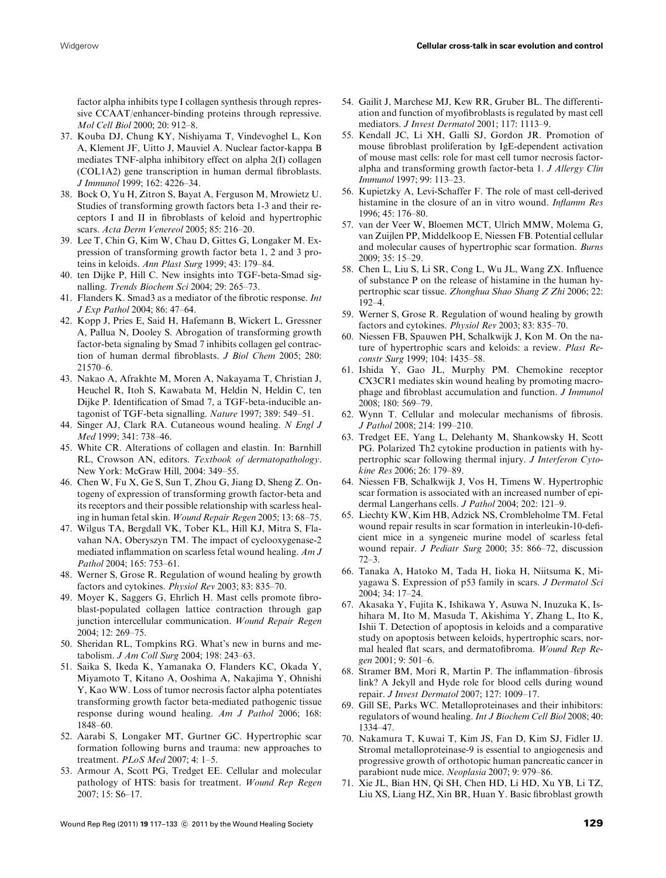factor alpha inhibits type I collagen synthesis through repressive CCAAT/enhancer-binding proteins through repressive. Mol Cell Biol 2000; 20: 912–8.

- 37. Kouba DJ, Chung KY, Nishiyama T, Vindevoghel L, Kon A, Klement JF, Uitto J, Mauviel A. Nuclear factor-kappa B mediates TNF-alpha inhibitory effect on alpha 2(I) collagen (COL1A2) gene transcription in human dermal fibroblasts. J Immunol 1999; 162: 4226–34.
- 38. Bock O, Yu H, Zitron S, Bayat A, Ferguson M, Mrowietz U. Studies of transforming growth factors beta 1-3 and their receptors I and II in fibroblasts of keloid and hypertrophic scars. Acta Derm Venereol 2005; 85: 216–20.
- 39. Lee T, Chin G, Kim W, Chau D, Gittes G, Longaker M. Expression of transforming growth factor beta 1, 2 and 3 proteins in keloids. Ann Plast Surg 1999; 43: 179–84.
- 40. ten Dijke P, Hill C. New insights into TGF-beta-Smad signalling. Trends Biochem Sci 2004; 29: 265–73.
- 41. Flanders K. Smad3 as a mediator of the fibrotic response. Int J Exp Pathol 2004; 86: 47–64.
- 42. Kopp J, Pries E, Said H, Hafemann B, Wickert L, Gressner A, Pallua N, Dooley S. Abrogation of transforming growth factor-beta signaling by Smad 7 inhibits collagen gel contraction of human dermal fibroblasts. J Biol Chem 2005; 280: 21570–6.
- 43. Nakao A, Afrakhte M, Moren A, Nakayama T, Christian J, Heuchel R, Itoh S, Kawabata M, Heldin N, Heldin C, ten Dijke P. Identification of Smad 7, a TGF-beta-inducible antagonist of TGF-beta signalling. Nature 1997; 389: 549–51.
- 44. Singer AJ, Clark RA. Cutaneous wound healing. N Engl J Med 1999; 341: 738–46.
- 45. White CR. Alterations of collagen and elastin. In: Barnhill RL, Crowson AN, editors. Textbook of dermatopathology. New York: McGraw Hill, 2004: 349–55.
- 46. Chen W, Fu X, Ge S, Sun T, Zhou G, Jiang D, Sheng Z. Ontogeny of expression of transforming growth factor-beta and its receptors and their possible relationship with scarless healing in human fetal skin. Wound Repair Regen 2005; 13: 68–75.
- 47. Wilgus TA, Bergdall VK, Tober KL, Hill KJ, Mitra S, Flavahan NA, Oberyszyn TM. The impact of cyclooxygenase-2 mediated inflammation on scarless fetal wound healing. Am J Pathol 2004; 165: 753–61.
- 48. Werner S, Grose R. Regulation of wound healing by growth factors and cytokines. Physiol Rev 2003; 83: 835–70.
- 49. Moyer K, Saggers G, Ehrlich H. Mast cells promote fibroblast-populated collagen lattice contraction through gap junction intercellular communication. Wound Repair Regen 2004; 12: 269–75.
- 50. Sheridan RL, Tompkins RG. What's new in burns and metabolism. J Am Coll Surg 2004; 198: 243–63.
- 51. Saika S, Ikeda K, Yamanaka O, Flanders KC, Okada Y, Miyamoto T, Kitano A, Ooshima A, Nakajima Y, Ohnishi Y, Kao WW. Loss of tumor necrosis factor alpha potentiates transforming growth factor beta-mediated pathogenic tissue response during wound healing. Am J Pathol 2006; 168: 1848–60.
- 52. Aarabi S, Longaker MT, Gurtner GC. Hypertrophic scar formation following burns and trauma: new approaches to treatment. PLoS Med 2007; 4: 1–5.
- 53. Armour A, Scott PG, Tredget EE. Cellular and molecular pathology of HTS: basis for treatment. Wound Rep Regen 2007; 15: S6–17.
- 54. Gailit J, Marchese MJ, Kew RR, Gruber BL. The differentiation and function of myofibroblasts is regulated by mast cell mediators. J Invest Dermatol 2001; 117: 1113–9.
- 55. Kendall JC, Li XH, Galli SJ, Gordon JR. Promotion of mouse fibroblast proliferation by IgE-dependent activation of mouse mast cells: role for mast cell tumor necrosis factoralpha and transforming growth factor-beta 1. J Allergy Clin Immunol 1997; 99: 113–23.
- 56. Kupietzky A, Levi-Schaffer F. The role of mast cell-derived histamine in the closure of an in vitro wound. Inflamm Res 1996; 45: 176–80.
- 57. van der Veer W, Bloemen MCT, Ulrich MMW, Molema G, van Zuijlen PP, Middelkoop E, Niessen FB. Potential cellular and molecular causes of hypertrophic scar formation. Burns 2009; 35: 15–29.
- 58. Chen L, Liu S, Li SR, Cong L, Wu JL, Wang ZX. Influence of substance P on the release of histamine in the human hypertrophic scar tissue. Zhonghua Shao Shang Z Zhi 2006; 22: 192–4.
- 59. Werner S, Grose R. Regulation of wound healing by growth factors and cytokines. Physiol Rev 2003; 83: 835–70.
- 60. Niessen FB, Spauwen PH, Schalkwijk J, Kon M. On the nature of hypertrophic scars and keloids: a review. Plast Reconstr Surg 1999; 104: 1435–58.
- 61. Ishida Y, Gao JL, Murphy PM. Chemokine receptor CX3CR1 mediates skin wound healing by promoting macrophage and fibroblast accumulation and function. J Immunol 2008; 180: 569–79.
- 62. Wynn T. Cellular and molecular mechanisms of fibrosis. J Pathol 2008; 214: 199–210.
- 63. Tredget EE, Yang L, Delehanty M, Shankowsky H, Scott PG. Polarized Th2 cytokine production in patients with hypertrophic scar following thermal injury. J Interferon Cytokine Res 2006; 26: 179–89.
- 64. Niessen FB, Schalkwijk J, Vos H, Timens W. Hypertrophic scar formation is associated with an increased number of epidermal Langerhans cells. J Pathol 2004; 202: 121-9.
- 65. Liechty KW, Kim HB, Adzick NS, Crombleholme TM. Fetal wound repair results in scar formation in interleukin-10-deficient mice in a syngeneic murine model of scarless fetal wound repair. J Pediatr Surg 2000; 35: 866–72, discussion 72–3.
- 66. Tanaka A, Hatoko M, Tada H, Iioka H, Niitsuma K, Miyagawa S. Expression of p53 family in scars. J Dermatol Sci 2004; 34: 17–24.
- 67. Akasaka Y, Fujita K, Ishikawa Y, Asuwa N, Inuzuka K, Ishihara M, Ito M, Masuda T, Akishima Y, Zhang L, Ito K, Ishii T. Detection of apoptosis in keloids and a comparative study on apoptosis between keloids, hypertrophic scars, normal healed flat scars, and dermatofibroma. Wound Rep Regen 2001; 9: 501–6.
- 68. Stramer BM, Mori R, Martin P. The inflammation–fibrosis link? A Jekyll and Hyde role for blood cells during wound repair. J Invest Dermatol 2007; 127: 1009–17.
- 69. Gill SE, Parks WC. Metalloproteinases and their inhibitors: regulators of wound healing. Int J Biochem Cell Biol 2008; 40: 1334–47.
- 70. Nakamura T, Kuwai T, Kim JS, Fan D, Kim SJ, Fidler IJ. Stromal metalloproteinase-9 is essential to angiogenesis and progressive growth of orthotopic human pancreatic cancer in parabiont nude mice. Neoplasia 2007; 9: 979–86.
- 71. Xie JL, Bian HN, Qi SH, Chen HD, Li HD, Xu YB, Li TZ, Liu XS, Liang HZ, Xin BR, Huan Y. Basic fibroblast growth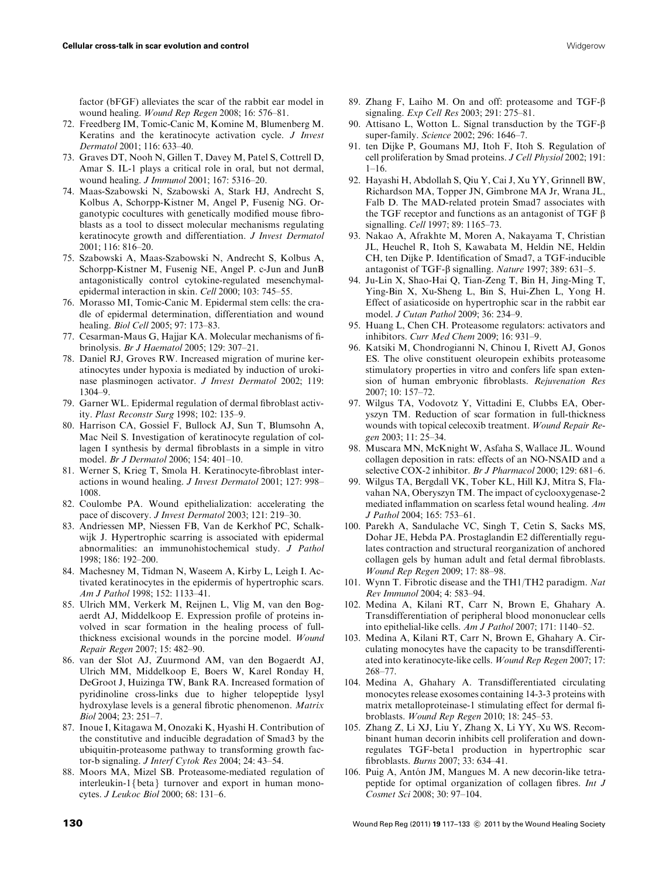factor (bFGF) alleviates the scar of the rabbit ear model in wound healing. Wound Rep Regen 2008; 16: 576–81.

- 72. Freedberg IM, Tomic-Canic M, Komine M, Blumenberg M. Keratins and the keratinocyte activation cycle. J Invest Dermatol 2001; 116: 633–40.
- 73. Graves DT, Nooh N, Gillen T, Davey M, Patel S, Cottrell D, Amar S. IL-1 plays a critical role in oral, but not dermal, wound healing. *J Immunol* 2001; 167: 5316-20.
- 74. Maas-Szabowski N, Szabowski A, Stark HJ, Andrecht S, Kolbus A, Schorpp-Kistner M, Angel P, Fusenig NG. Organotypic cocultures with genetically modified mouse fibroblasts as a tool to dissect molecular mechanisms regulating keratinocyte growth and differentiation. J Invest Dermatol 2001; 116: 816–20.
- 75. Szabowski A, Maas-Szabowski N, Andrecht S, Kolbus A, Schorpp-Kistner M, Fusenig NE, Angel P. c-Jun and JunB antagonistically control cytokine-regulated mesenchymalepidermal interaction in skin. Cell 2000; 103: 745–55.
- 76. Morasso MI, Tomic-Canic M. Epidermal stem cells: the cradle of epidermal determination, differentiation and wound healing. Biol Cell 2005; 97: 173–83.
- 77. Cesarman-Maus G, Hajjar KA. Molecular mechanisms of fibrinolysis. Br J Haematol 2005; 129: 307–21.
- 78. Daniel RJ, Groves RW. Increased migration of murine keratinocytes under hypoxia is mediated by induction of urokinase plasminogen activator. J Invest Dermatol 2002; 119: 1304–9.
- 79. Garner WL. Epidermal regulation of dermal fibroblast activity. Plast Reconstr Surg 1998; 102: 135–9.
- 80. Harrison CA, Gossiel F, Bullock AJ, Sun T, Blumsohn A, Mac Neil S. Investigation of keratinocyte regulation of collagen I synthesis by dermal fibroblasts in a simple in vitro model. Br J Dermatol 2006; 154: 401–10.
- 81. Werner S, Krieg T, Smola H. Keratinocyte-fibroblast interactions in wound healing. J Invest Dermatol 2001; 127: 998– 1008.
- 82. Coulombe PA. Wound epithelialization: accelerating the pace of discovery. J Invest Dermatol 2003; 121: 219–30.
- 83. Andriessen MP, Niessen FB, Van de Kerkhof PC, Schalkwijk J. Hypertrophic scarring is associated with epidermal abnormalities: an immunohistochemical study. J Pathol 1998; 186: 192–200.
- 84. Machesney M, Tidman N, Waseem A, Kirby L, Leigh I. Activated keratinocytes in the epidermis of hypertrophic scars. Am J Pathol 1998; 152: 1133–41.
- 85. Ulrich MM, Verkerk M, Reijnen L, Vlig M, van den Bogaerdt AJ, Middelkoop E. Expression profile of proteins involved in scar formation in the healing process of fullthickness excisional wounds in the porcine model. Wound Repair Regen 2007; 15: 482–90.
- 86. van der Slot AJ, Zuurmond AM, van den Bogaerdt AJ, Ulrich MM, Middelkoop E, Boers W, Karel Ronday H, DeGroot J, Huizinga TW, Bank RA. Increased formation of pyridinoline cross-links due to higher telopeptide lysyl hydroxylase levels is a general fibrotic phenomenon. Matrix Biol 2004; 23: 251–7.
- 87. Inoue I, Kitagawa M, Onozaki K, Hyashi H. Contribution of the constitutive and inducible degradation of Smad3 by the ubiquitin-proteasome pathway to transforming growth factor-b signaling. J Interf Cytok Res 2004; 24: 43–54.
- 88. Moors MA, Mizel SB. Proteasome-mediated regulation of interleukin-1{beta} turnover and export in human monocytes. J Leukoc Biol 2000; 68: 131–6.
- 89. Zhang F, Laiho M. On and off: proteasome and TGF-b signaling. Exp Cell Res 2003; 291: 275–81.
- 90. Attisano L, Wotton L. Signal transduction by the TGF- $\beta$ super-family. Science 2002; 296: 1646-7.
- 91. ten Dijke P, Goumans MJ, Itoh F, Itoh S. Regulation of cell proliferation by Smad proteins. J Cell Physiol 2002; 191: 1–16.
- 92. Hayashi H, Abdollah S, Qiu Y, Cai J, Xu YY, Grinnell BW, Richardson MA, Topper JN, Gimbrone MA Jr, Wrana JL, Falb D. The MAD-related protein Smad7 associates with the TGF receptor and functions as an antagonist of TGF  $\beta$ signalling. Cell 1997; 89: 1165-73.
- 93. Nakao A, Afrakhte M, Moren A, Nakayama T, Christian JL, Heuchel R, Itoh S, Kawabata M, Heldin NE, Heldin CH, ten Dijke P. Identification of Smad7, a TGF-inducible antagonist of TGF-b signalling. Nature 1997; 389: 631–5.
- 94. Ju-Lin X, Shao-Hai Q, Tian-Zeng T, Bin H, Jing-Ming T, Ying-Bin X, Xu-Sheng L, Bin S, Hui-Zhen L, Yong H. Effect of asiaticoside on hypertrophic scar in the rabbit ear model. J Cutan Pathol 2009; 36: 234–9.
- 95. Huang L, Chen CH. Proteasome regulators: activators and inhibitors. Curr Med Chem 2009; 16: 931–9.
- 96. Katsiki M, Chondrogianni N, Chinou I, Rivett AJ, Gonos ES. The olive constituent oleuropein exhibits proteasome stimulatory properties in vitro and confers life span extension of human embryonic fibroblasts. Rejuvenation Res 2007; 10: 157–72.
- 97. Wilgus TA, Vodovotz Y, Vittadini E, Clubbs EA, Oberyszyn TM. Reduction of scar formation in full-thickness wounds with topical celecoxib treatment. Wound Repair Regen 2003; 11: 25–34.
- 98. Muscara MN, McKnight W, Asfaha S, Wallace JL. Wound collagen deposition in rats: effects of an NO-NSAID and a selective COX-2 inhibitor. Br J Pharmacol 2000; 129: 681-6.
- 99. Wilgus TA, Bergdall VK, Tober KL, Hill KJ, Mitra S, Flavahan NA, Oberyszyn TM. The impact of cyclooxygenase-2 mediated inflammation on scarless fetal wound healing. Am J Pathol 2004; 165: 753–61.
- 100. Parekh A, Sandulache VC, Singh T, Cetin S, Sacks MS, Dohar JE, Hebda PA. Prostaglandin E2 differentially regulates contraction and structural reorganization of anchored collagen gels by human adult and fetal dermal fibroblasts. Wound Rep Regen 2009; 17: 88–98.
- 101. Wynn T. Fibrotic disease and the TH1/TH2 paradigm. Nat Rev Immunol 2004; 4: 583–94.
- 102. Medina A, Kilani RT, Carr N, Brown E, Ghahary A. Transdifferentiation of peripheral blood mononuclear cells into epithelial-like cells. Am J Pathol 2007; 171: 1140–52.
- 103. Medina A, Kilani RT, Carr N, Brown E, Ghahary A. Circulating monocytes have the capacity to be transdifferentiated into keratinocyte-like cells. Wound Rep Regen 2007; 17: 268–77.
- 104. Medina A, Ghahary A. Transdifferentiated circulating monocytes release exosomes containing 14-3-3 proteins with matrix metalloproteinase-1 stimulating effect for dermal fibroblasts. Wound Rep Regen 2010; 18: 245–53.
- 105. Zhang Z, Li XJ, Liu Y, Zhang X, Li YY, Xu WS. Recombinant human decorin inhibits cell proliferation and downregulates TGF-beta1 production in hypertrophic scar fibroblasts. Burns 2007; 33: 634–41.
- 106. Puig A, Antón JM, Mangues M. A new decorin-like tetrapeptide for optimal organization of collagen fibres. Int J Cosmet Sci 2008; 30: 97–104.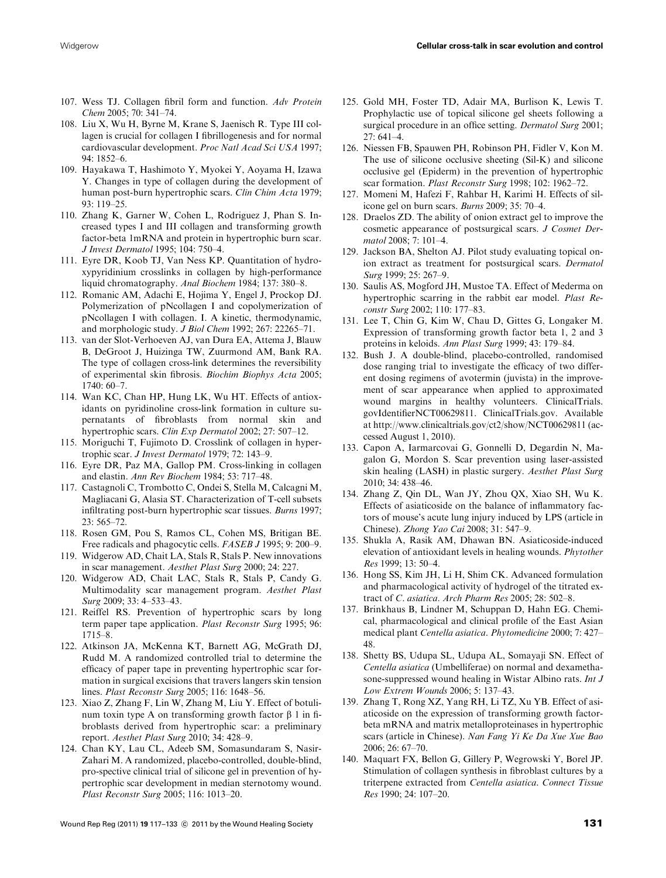- 107. Wess TJ. Collagen fibril form and function. Adv Protein Chem 2005; 70: 341–74.
- 108. Liu X, Wu H, Byrne M, Krane S, Jaenisch R. Type III collagen is crucial for collagen I fibrillogenesis and for normal cardiovascular development. Proc Natl Acad Sci USA 1997; 94: 1852–6.
- 109. Hayakawa T, Hashimoto Y, Myokei Y, Aoyama H, Izawa Y. Changes in type of collagen during the development of human post-burn hypertrophic scars. Clin Chim Acta 1979; 93: 119–25.
- 110. Zhang K, Garner W, Cohen L, Rodriguez J, Phan S. Increased types I and III collagen and transforming growth factor-beta 1mRNA and protein in hypertrophic burn scar. J Invest Dermatol 1995; 104: 750–4.
- 111. Eyre DR, Koob TJ, Van Ness KP. Quantitation of hydroxypyridinium crosslinks in collagen by high-performance liquid chromatography. Anal Biochem 1984; 137: 380-8.
- 112. Romanic AM, Adachi E, Hojima Y, Engel J, Prockop DJ. Polymerization of pNcollagen I and copolymerization of pNcollagen I with collagen. I. A kinetic, thermodynamic, and morphologic study. J Biol Chem 1992; 267: 22265–71.
- 113. van der Slot-Verhoeven AJ, van Dura EA, Attema J, Blauw B, DeGroot J, Huizinga TW, Zuurmond AM, Bank RA. The type of collagen cross-link determines the reversibility of experimental skin fibrosis. Biochim Biophys Acta 2005; 1740: 60–7.
- 114. Wan KC, Chan HP, Hung LK, Wu HT. Effects of antioxidants on pyridinoline cross-link formation in culture supernatants of fibroblasts from normal skin and hypertrophic scars. Clin Exp Dermatol 2002; 27: 507-12.
- 115. Moriguchi T, Fujimoto D. Crosslink of collagen in hypertrophic scar. J Invest Dermatol 1979; 72: 143-9.
- 116. Eyre DR, Paz MA, Gallop PM. Cross-linking in collagen and elastin. Ann Rev Biochem 1984; 53: 717–48.
- 117. Castagnoli C, Trombotto C, Ondei S, Stella M, Calcagni M, Magliacani G, Alasia ST. Characterization of T-cell subsets infiltrating post-burn hypertrophic scar tissues. Burns 1997; 23: 565–72.
- 118. Rosen GM, Pou S, Ramos CL, Cohen MS, Britigan BE. Free radicals and phagocytic cells. FASEB J 1995; 9: 200–9.
- 119. Widgerow AD, Chait LA, Stals R, Stals P. New innovations in scar management. Aesthet Plast Surg 2000; 24: 227.
- 120. Widgerow AD, Chait LAC, Stals R, Stals P, Candy G. Multimodality scar management program. Aesthet Plast Surg 2009; 33: 4–533–43.
- 121. Reiffel RS. Prevention of hypertrophic scars by long term paper tape application. Plast Reconstr Surg 1995; 96: 1715–8.
- 122. Atkinson JA, McKenna KT, Barnett AG, McGrath DJ, Rudd M. A randomized controlled trial to determine the efficacy of paper tape in preventing hypertrophic scar formation in surgical excisions that travers langers skin tension lines. Plast Reconstr Surg 2005; 116: 1648–56.
- 123. Xiao Z, Zhang F, Lin W, Zhang M, Liu Y. Effect of botulinum toxin type A on transforming growth factor  $\beta$  1 in fibroblasts derived from hypertrophic scar: a preliminary report. Aesthet Plast Surg 2010; 34: 428–9.
- 124. Chan KY, Lau CL, Adeeb SM, Somasundaram S, Nasir-Zahari M. A randomized, placebo-controlled, double-blind, pro-spective clinical trial of silicone gel in prevention of hypertrophic scar development in median sternotomy wound. Plast Reconstr Surg 2005; 116: 1013–20.
- 125. Gold MH, Foster TD, Adair MA, Burlison K, Lewis T. Prophylactic use of topical silicone gel sheets following a surgical procedure in an office setting. Dermatol Surg 2001; 27: 641–4.
- 126. Niessen FB, Spauwen PH, Robinson PH, Fidler V, Kon M. The use of silicone occlusive sheeting (Sil-K) and silicone occlusive gel (Epiderm) in the prevention of hypertrophic scar formation. *Plast Reconstr Surg* 1998; 102: 1962–72.
- 127. Momeni M, Hafezi F, Rahbar H, Karimi H. Effects of silicone gel on burn scars. Burns 2009; 35: 70–4.
- 128. Draelos ZD. The ability of onion extract gel to improve the cosmetic appearance of postsurgical scars. J Cosmet Dermatol 2008; 7: 101–4.
- 129. Jackson BA, Shelton AJ. Pilot study evaluating topical onion extract as treatment for postsurgical scars. Dermatol Surg 1999; 25: 267–9.
- 130. Saulis AS, Mogford JH, Mustoe TA. Effect of Mederma on hypertrophic scarring in the rabbit ear model. Plast Reconstr Surg 2002; 110: 177–83.
- 131. Lee T, Chin G, Kim W, Chau D, Gittes G, Longaker M. Expression of transforming growth factor beta 1, 2 and 3 proteins in keloids. Ann Plast Surg 1999; 43: 179–84.
- 132. Bush J. A double-blind, placebo-controlled, randomised dose ranging trial to investigate the efficacy of two different dosing regimens of avotermin (juvista) in the improvement of scar appearance when applied to approximated wound margins in healthy volunteers. ClinicalTrials. govIdentifierNCT00629811. ClinicalTrials.gov. Available at<http://www.clinicaltrials.gov/ct2/show/NCT00629811> (accessed August 1, 2010).
- 133. Capon A, Iarmarcovai G, Gonnelli D, Degardin N, Magalon G, Mordon S. Scar prevention using laser-assisted skin healing (LASH) in plastic surgery. Aesthet Plast Surg  $2010:34:438-46$ .
- 134. Zhang Z, Qin DL, Wan JY, Zhou QX, Xiao SH, Wu K. Effects of asiaticoside on the balance of inflammatory factors of mouse's acute lung injury induced by LPS (article in Chinese). Zhong Yao Cai 2008; 31: 547–9.
- 135. Shukla A, Rasik AM, Dhawan BN. Asiaticoside-induced elevation of antioxidant levels in healing wounds. Phytother Res 1999; 13: 50–4.
- 136. Hong SS, Kim JH, Li H, Shim CK. Advanced formulation and pharmacological activity of hydrogel of the titrated extract of C. asiatica. Arch Pharm Res 2005; 28: 502–8.
- 137. Brinkhaus B, Lindner M, Schuppan D, Hahn EG. Chemical, pharmacological and clinical profile of the East Asian medical plant Centella asiatica. Phytomedicine 2000; 7: 427– 48.
- 138. Shetty BS, Udupa SL, Udupa AL, Somayaji SN. Effect of Centella asiatica (Umbelliferae) on normal and dexamethasone-suppressed wound healing in Wistar Albino rats. Int J Low Extrem Wounds 2006; 5: 137–43.
- 139. Zhang T, Rong XZ, Yang RH, Li TZ, Xu YB. Effect of asiaticoside on the expression of transforming growth factorbeta mRNA and matrix metalloproteinases in hypertrophic scars (article in Chinese). Nan Fang Yi Ke Da Xue Xue Bao 2006; 26: 67–70.
- 140. Maquart FX, Bellon G, Gillery P, Wegrowski Y, Borel JP. Stimulation of collagen synthesis in fibroblast cultures by a triterpene extracted from Centella asiatica. Connect Tissue Res 1990; 24: 107–20.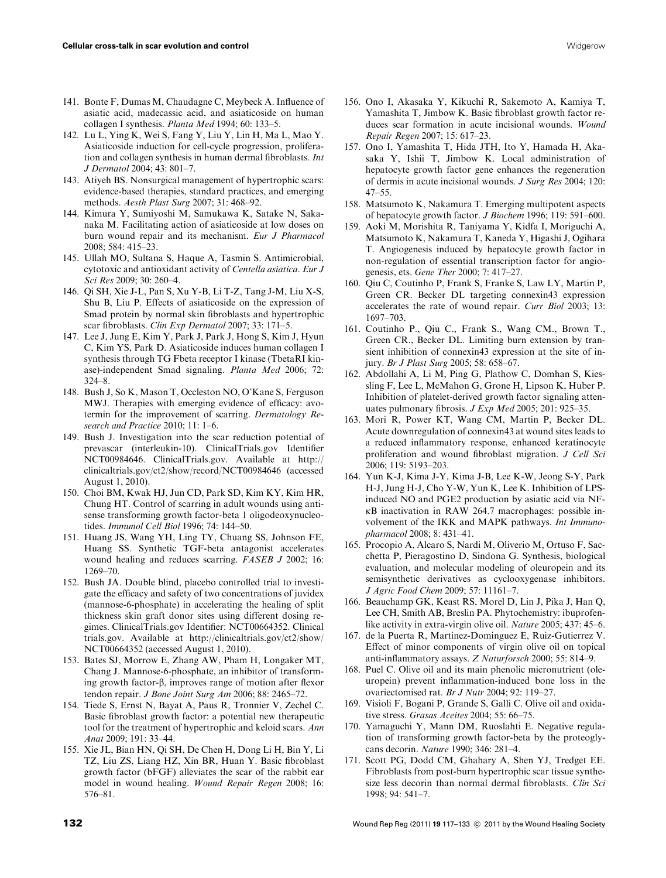- 141. Bonte F, Dumas M, Chaudagne C, Meybeck A. Influence of asiatic acid, madecassic acid, and asiaticoside on human collagen I synthesis. Planta Med 1994; 60: 133-5.
- 142. Lu L, Ying K, Wei S, Fang Y, Liu Y, Lin H, Ma L, Mao Y. Asiaticoside induction for cell-cycle progression, proliferation and collagen synthesis in human dermal fibroblasts. Int J Dermatol 2004; 43: 801–7.
- 143. Atiyeh BS. Nonsurgical management of hypertrophic scars: evidence-based therapies, standard practices, and emerging methods. Aesth Plast Surg 2007; 31: 468–92.
- 144. Kimura Y, Sumiyoshi M, Samukawa K, Satake N, Sakanaka M. Facilitating action of asiaticoside at low doses on burn wound repair and its mechanism. Eur J Pharmacol 2008; 584: 415–23.
- 145. Ullah MO, Sultana S, Haque A, Tasmin S. Antimicrobial, cytotoxic and antioxidant activity of Centella asiatica. Eur J Sci Res 2009; 30: 260–4.
- 146. Qi SH, Xie J-L, Pan S, Xu Y-B, Li T-Z, Tang J-M, Liu X-S, Shu B, Liu P. Effects of asiaticoside on the expression of Smad protein by normal skin fibroblasts and hypertrophic scar fibroblasts. Clin Exp Dermatol 2007; 33: 171-5.
- 147. Lee J, Jung E, Kim Y, Park J, Park J, Hong S, Kim J, Hyun C, Kim YS, Park D. Asiaticoside induces human collagen I synthesis through TG Fbeta receptor I kinase (TbetaRI kinase)-independent Smad signaling. Planta Med 2006; 72: 324–8.
- 148. Bush J, So K, Mason T, Occleston NO, O'Kane S, Ferguson MWJ. Therapies with emerging evidence of efficacy: avotermin for the improvement of scarring. Dermatology Research and Practice 2010; 11: 1–6.
- 149. Bush J. Investigation into the scar reduction potential of prevascar (interleukin-10). ClinicalTrials.gov Identifier NCT00984646. ClinicalTrials.gov. Available at [http://](http://clinicaltrials.gov/ct2/show/record/NCT00984646) [clinicaltrials.gov/ct2/show/record/NCT00984646](http://clinicaltrials.gov/ct2/show/record/NCT00984646) (accessed August 1, 2010).
- 150. Choi BM, Kwak HJ, Jun CD, Park SD, Kim KY, Kim HR, Chung HT. Control of scarring in adult wounds using antisense transforming growth factor-beta 1 oligodeoxynucleotides. Immunol Cell Biol 1996; 74: 144–50.
- 151. Huang JS, Wang YH, Ling TY, Chuang SS, Johnson FE, Huang SS. Synthetic TGF-beta antagonist accelerates wound healing and reduces scarring. FASEB J 2002; 16: 1269–70.
- 152. Bush JA. Double blind, placebo controlled trial to investigate the efficacy and safety of two concentrations of juvidex (mannose-6-phosphate) in accelerating the healing of split thickness skin graft donor sites using different dosing regimes. ClinicalTrials.gov Identifier: NCT00664352. Clinical trials.gov. Available at [http://clinicaltrials.gov/ct2/show/](http://clinicaltrials.gov/ct2/show/NCT00664352) [NCT00664352](http://clinicaltrials.gov/ct2/show/NCT00664352) (accessed August 1, 2010).
- 153. Bates SJ, Morrow E, Zhang AW, Pham H, Longaker MT, Chang J. Mannose-6-phosphate, an inhibitor of transforming growth factor-b, improves range of motion after flexor tendon repair. J Bone Joint Surg Am 2006; 88: 2465-72.
- 154. Tiede S, Ernst N, Bayat A, Paus R, Tronnier V, Zechel C. Basic fibroblast growth factor: a potential new therapeutic tool for the treatment of hypertrophic and keloid scars. Ann Anat 2009; 191: 33–44.
- 155. Xie JL, Bian HN, Qi SH, De Chen H, Dong Li H, Bin Y, Li TZ, Liu ZS, Liang HZ, Xin BR, Huan Y. Basic fibroblast growth factor (bFGF) alleviates the scar of the rabbit ear model in wound healing. Wound Repair Regen 2008; 16: 576–81.
- 156. Ono I, Akasaka Y, Kikuchi R, Sakemoto A, Kamiya T, Yamashita T, Jimbow K. Basic fibroblast growth factor reduces scar formation in acute incisional wounds. Wound Repair Regen 2007; 15: 617–23.
- 157. Ono I, Yamashita T, Hida JTH, Ito Y, Hamada H, Akasaka Y, Ishii T, Jimbow K. Local administration of hepatocyte growth factor gene enhances the regeneration of dermis in acute incisional wounds. J Surg Res 2004; 120: 47–55.
- 158. Matsumoto K, Nakamura T. Emerging multipotent aspects of hepatocyte growth factor. J Biochem 1996; 119: 591–600.
- 159. Aoki M, Morishita R, Taniyama Y, Kidfa I, Moriguchi A, Matsumoto K, Nakamura T, Kaneda Y, Higashi J, Ogihara T. Angiogenesis induced by hepatocyte growth factor in non-regulation of essential transcription factor for angiogenesis, ets. Gene Ther 2000; 7: 417–27.
- 160. Qiu C, Coutinho P, Frank S, Franke S, Law LY, Martin P, Green CR. Becker DL targeting connexin43 expression accelerates the rate of wound repair. Curr Biol 2003; 13: 1697–703.
- 161. Coutinho P., Qiu C., Frank S., Wang CM., Brown T., Green CR., Becker DL. Limiting burn extension by transient inhibition of connexin43 expression at the site of injury. Br J Plast Surg 2005; 58: 658–67.
- 162. Abdollahi A, Li M, Ping G, Plathow C, Domhan S, Kiessling F, Lee L, McMahon G, Grone H, Lipson K, Huber P. Inhibition of platelet-derived growth factor signaling attenuates pulmonary fibrosis. *J Exp Med* 2005; 201: 925–35.
- 163. Mori R, Power KT, Wang CM, Martin P, Becker DL. Acute downregulation of connexin43 at wound sites leads to a reduced inflammatory response, enhanced keratinocyte proliferation and wound fibroblast migration. J Cell Sci 2006; 119: 5193–203.
- 164. Yun K-J, Kima J-Y, Kima J-B, Lee K-W, Jeong S-Y, Park H-J, Jung H-J, Cho Y-W, Yun K, Lee K. Inhibition of LPSinduced NO and PGE2 production by asiatic acid via NFkB inactivation in RAW 264.7 macrophages: possible involvement of the IKK and MAPK pathways. Int Immunopharmacol 2008; 8: 431–41.
- 165. Procopio A, Alcaro S, Nardi M, Oliverio M, Ortuso F, Sacchetta P, Pieragostino D, Sindona G. Synthesis, biological evaluation, and molecular modeling of oleuropein and its semisynthetic derivatives as cyclooxygenase inhibitors. J Agric Food Chem 2009; 57: 11161–7.
- 166. Beauchamp GK, Keast RS, Morel D, Lin J, Pika J, Han Q, Lee CH, Smith AB, Breslin PA. Phytochemistry: ibuprofenlike activity in extra-virgin olive oil. Nature 2005; 437: 45–6.
- 167. de la Puerta R, Martinez-Dominguez E, Ruiz-Gutierrez V. Effect of minor components of virgin olive oil on topical anti-inflammatory assays. Z Naturforsch 2000; 55: 814–9.
- 168. Puel C. Olive oil and its main phenolic micronutrient (oleuropein) prevent inflammation-induced bone loss in the ovariectomised rat. Br J Nutr 2004; 92: 119–27.
- 169. Visioli F, Bogani P, Grande S, Galli C. Olive oil and oxidative stress. Grasas Aceites 2004; 55: 66–75.
- 170. Yamaguchi Y, Mann DM, Ruoslahti E. Negative regulation of transforming growth factor-beta by the proteoglycans decorin. Nature 1990; 346: 281–4.
- 171. Scott PG, Dodd CM, Ghahary A, Shen YJ, Tredget EE. Fibroblasts from post-burn hypertrophic scar tissue synthesize less decorin than normal dermal fibroblasts. Clin Sci 1998; 94: 541–7.